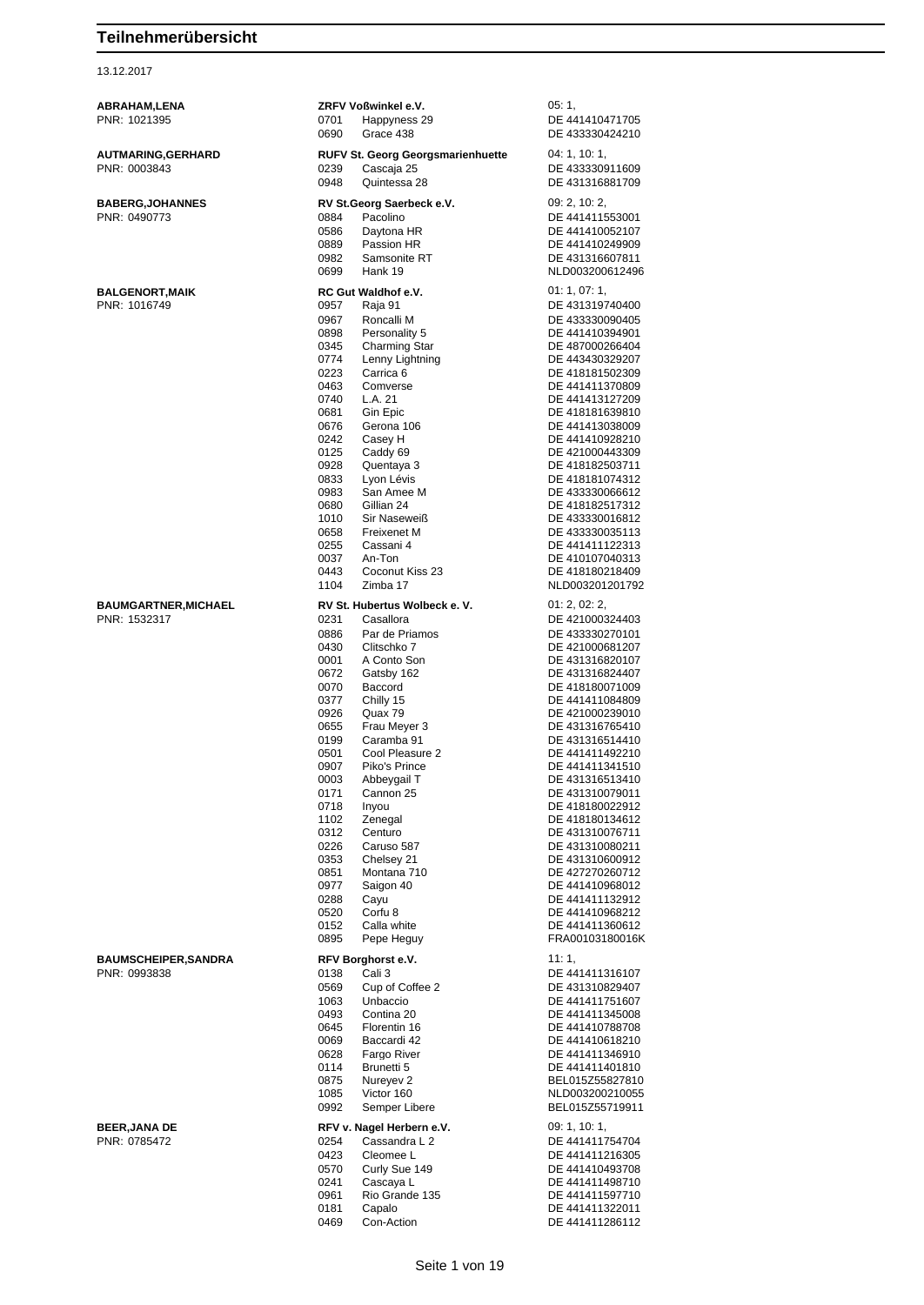#### 13.12.2017

| ABRAHAM,LENA                |              | ZRFV Voßwinkel e.V.                      | 05:1,                              |
|-----------------------------|--------------|------------------------------------------|------------------------------------|
| PNR: 1021395                | 0701         | Happyness 29                             | DE 441410471705                    |
|                             | 0690         | Grace 438                                | DE 433330424210                    |
| <b>AUTMARING, GERHARD</b>   |              | <b>RUFV St. Georg Georgsmarienhuette</b> | 04: 1, 10: 1,                      |
| PNR: 0003843                | 0239         | Cascaja 25                               | DE 433330911609                    |
|                             | 0948         | Quintessa 28                             | DE 431316881709                    |
| <b>BABERG, JOHANNES</b>     |              | RV St.Georg Saerbeck e.V.                | 09: 2, 10: 2,                      |
| PNR: 0490773                | 0884<br>0586 | Pacolino<br>Daytona HR                   | DE 441411553001<br>DE 441410052107 |
|                             | 0889         | Passion HR                               | DE 441410249909                    |
|                             | 0982         | Samsonite RT                             | DE 431316607811                    |
|                             | 0699         | Hank 19                                  | NLD003200612496                    |
| <b>BALGENORT, MAIK</b>      |              | RC Gut Waldhof e.V.                      | 01: 1, 07: 1,                      |
| PNR: 1016749                | 0957         | Raja 91                                  | DE 431319740400                    |
|                             | 0967         | Roncalli M                               | DE 433330090405                    |
|                             | 0898<br>0345 | Personality 5<br>Charming Star           | DE 441410394901<br>DE 487000266404 |
|                             | 0774         | Lenny Lightning                          | DE 443430329207                    |
|                             | 0223         | Carrica <sub>6</sub>                     | DE 418181502309                    |
|                             | 0463         | Comverse                                 | DE 441411370809                    |
|                             | 0740<br>0681 | L.A. 21<br>Gin Epic                      | DE 441413127209<br>DE 418181639810 |
|                             | 0676         | Gerona 106                               | DE 441413038009                    |
|                             | 0242         | Casey H                                  | DE 441410928210                    |
|                             | 0125         | Caddy 69                                 | DE 421000443309                    |
|                             | 0928<br>0833 | Quentaya 3<br>Lyon Lévis                 | DE 418182503711<br>DE 418181074312 |
|                             | 0983         | San Amee M                               | DE 433330066612                    |
|                             | 0680         | Gillian 24                               | DE 418182517312                    |
|                             | 1010         | Sir Naseweiß                             | DE 433330016812                    |
|                             | 0658<br>0255 | Freixenet M<br>Cassani 4                 | DE 433330035113<br>DE 441411122313 |
|                             | 0037         | An-Ton                                   | DE 410107040313                    |
|                             | 0443         | Coconut Kiss 23                          | DE 418180218409                    |
|                             | 1104         | Zimba 17                                 | NLD003201201792                    |
| <b>BAUMGARTNER, MICHAEL</b> |              | RV St. Hubertus Wolbeck e. V.            | 01: 2, 02: 2,                      |
| PNR: 1532317                | 0231         | Casallora                                | DE 421000324403                    |
|                             | 0886<br>0430 | Par de Priamos<br>Clitschko 7            | DE 433330270101                    |
|                             | 0001         | A Conto Son                              | DE 421000681207<br>DE 431316820107 |
|                             | 0672         | Gatsby 162                               | DE 431316824407                    |
|                             | 0070         | Baccord                                  | DE 418180071009                    |
|                             | 0377<br>0926 | Chilly 15<br>Quax 79                     | DE 441411084809                    |
|                             | 0655         | Frau Meyer 3                             | DE 421000239010<br>DE 431316765410 |
|                             | 0199         | Caramba 91                               | DE 431316514410                    |
|                             | 0501         | Cool Pleasure 2                          | DE 441411492210                    |
|                             | 0907         | Piko's Prince                            | DE 441411341510                    |
|                             | 0003<br>0171 | Abbeygail T<br>Cannon 25                 | DE 431316513410<br>DE 431310079011 |
|                             | 0718         | Inyou                                    | DE 418180022912                    |
|                             | 1102         | Zenegal                                  | DE 418180134612                    |
|                             | 0312<br>0226 | Centuro<br>Caruso 587                    | DE 431310076711<br>DE 431310080211 |
|                             | 0353         | Chelsey 21                               | DE 431310600912                    |
|                             | 0851         | Montana 710                              | DE 427270260712                    |
|                             | 0977         | Saigon 40                                | DE 441410968012                    |
|                             | 0288         | Cayu<br>Corfu <sub>8</sub>               | DE 441411132912                    |
|                             | 0520<br>0152 | Calla white                              | DE 441410968212<br>DE 441411360612 |
|                             | 0895         | Pepe Heguy                               | FRA00103180016K                    |
| <b>BAUMSCHEIPER, SANDRA</b> |              | RFV Borghorst e.V.                       | 11:1,                              |
| PNR: 0993838                | 0138         | Cali 3                                   | DE 441411316107                    |
|                             | 0569         | Cup of Coffee 2                          | DE 431310829407                    |
|                             | 1063<br>0493 | Unbaccio<br>Contina 20                   | DE 441411751607<br>DE 441411345008 |
|                             | 0645         | Florentin 16                             | DE 441410788708                    |
|                             | 0069         | Baccardi 42                              | DE 441410618210                    |
|                             | 0628         | Fargo River                              | DE 441411346910                    |
|                             | 0114<br>0875 | Brunetti 5<br>Nureyev 2                  | DE 441411401810<br>BEL015Z55827810 |
|                             | 1085         | Victor 160                               | NLD003200210055                    |
|                             | 0992         | Semper Libere                            | BEL015Z55719911                    |
| <b>BEER, JANA DE</b>        |              | RFV v. Nagel Herbern e.V.                | 09: 1, 10: 1,                      |
| PNR: 0785472                | 0254         | Cassandra L 2                            | DE 441411754704                    |
|                             | 0423<br>0570 | Cleomee L<br>Curly Sue 149               | DE 441411216305<br>DE 441410493708 |
|                             | 0241         | Cascaya L                                | DE 441411498710                    |
|                             | 0961         | Rio Grande 135                           | DE 441411597710                    |
|                             | 0181<br>0469 | Capalo<br>Con-Action                     | DE 441411322011<br>DE 441411286112 |
|                             |              |                                          |                                    |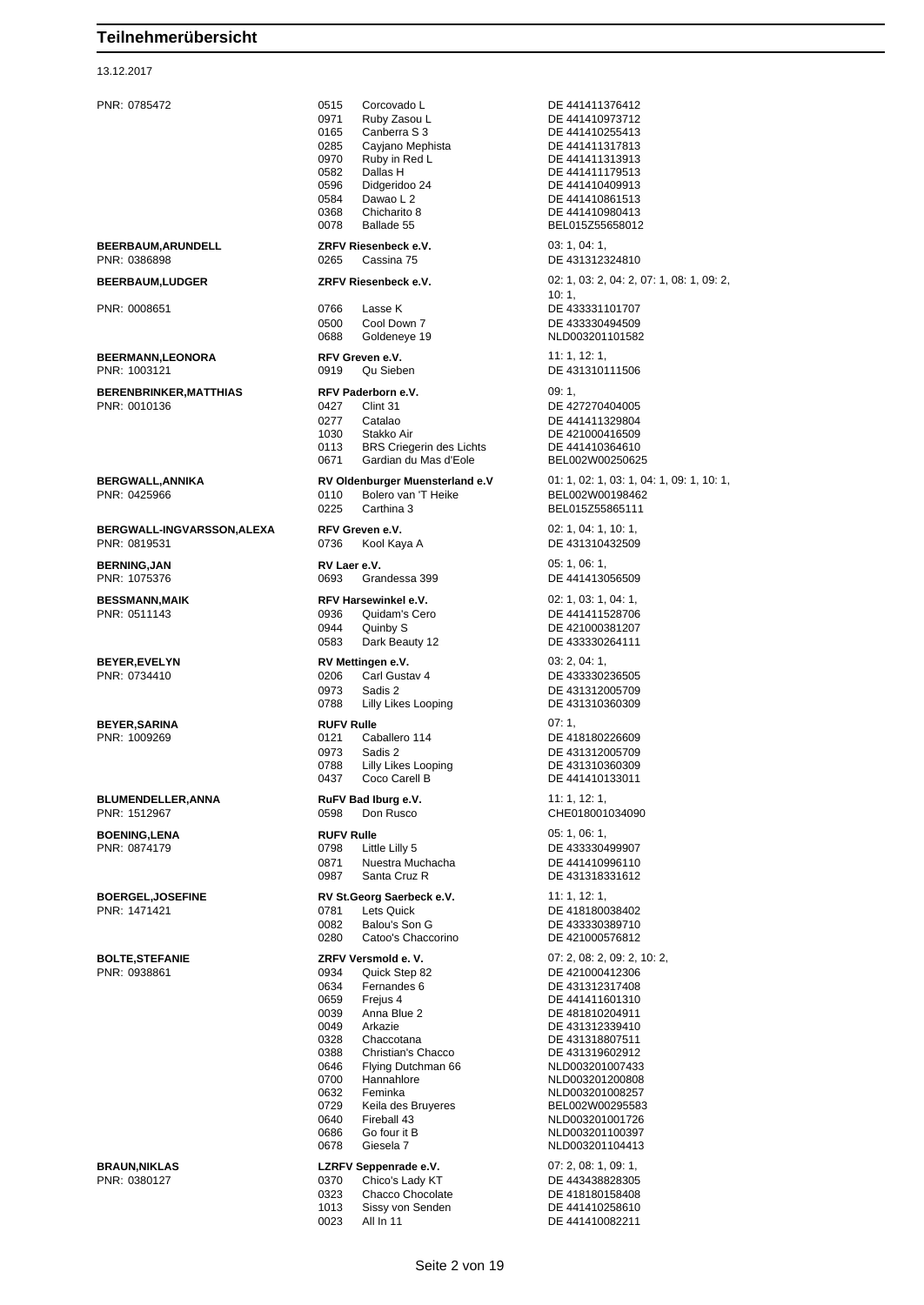#### 13.12.2017

PNR: 0785472 0515 Corcovado L DE 441411376412 0971 Ruby Zasou L<br>0165 Capberra S 3 DE 441410955413 0165 Canberra S 3 DE 441410255413<br>0285 Caviano Menhista DE 441411317813 Cayjano Mephista DE 441411317813 0970 Ruby in Red L<br>0582 Dallas H DE 441411179513 0596 Didgeridoo 24 DE 441410409913 0584 Dawao L 2 DE 441410861513<br>0368 Chicharito 8 DE 441410980413 0368 Chicharito 8 DE 441410980413 **BEERBAUM,ARUNDELL ZRFV Riesenbeck e.V.** 03: 1, 04: 1, PNR: 0386898 0265 Cassina 75 DE 431312324810 PNR: 0008651 0766 Lasse K DE 433331101707 0500 Cool Down 7 DE 433330494509 0688 Goldeneye 19 NLD003201101582 **BEERMANN,LEONORA RFV Greven e.V.** 11: 1, 12: 1, 12: 1, 12: 1, 12: 1, 12: 1, 12: 1, 12: 1, 12: 1, 12: 1, 12: 1, 12: 1, 12: 1, 12: 1, 12: 1, 12: 1, 12: 1, 12: 1, 12: 1, 12: 1, 12: 1, 12: 1, 12: 1, 12: 1, 12: 1, 12: 1, 12: 0919 Qu Sieben DE 431310111506 **BERENBRINKER,MATTHIAS RFV Paderborn e.V.** 09: 1, PNR: 0010136 0427 Clint 31 DE 427270404005 0277 Catalao DE 441411329804 1030 Stakko Air **DE 421000416509**<br>113 BRS Criegerin des Lichts DE 441410364610 0113 BRS Criegerin des Lichts DE 441410364610<br>0671 Gardian du Mas d'Eole BEL002W00250625 Gardian du Mas d'Eole PNR: 0425966 0110 Bolero van 'T Heike BEL002W00198462 0225 Carthina 3 BEL015Z55865111 **BERGWALL-INGVARSSON,ALEXA RFV Greven e.V.** 02: 1, 04: 1, 10: 1, PNR: 0819531 0736 Kool Kaya A DE 431310432509 **BERNING,JAN RV Laer e.V. RV Laer e.V.** 05: 1, 06: 1, 06: 1, 06: 1, 06: 1, 06: 1, 06: 1, 06: 1, 06: 1, 06: 1, 06: 1, 06: 1, 06: 1, 06: 1, 06: 1, 06: 1, 06: 1, 06: 1, 06: 1, 06: 1, 06: 1, 06: 1, 06: 1, 06: 1, 06: 1, 06: Grandessa 399 **BESSMANN,MAIK RFV Harsewinkel e.V.** 02: 1, 03: 1, 04: 1, 04: 1, 04: 1, 05: 1, 04: 1, 05: 1, 04: 1, 05: 1, 04: 1, 05: 2, 09: 2, 09: 2, 09: 2, 09: 2, 09: 2, 09: 2, 09: 2, 09: 2, 09: 2, 09: 2, 09: 2, 09: 2, 09: 2, 09: 2, 0 0944 Quinby S DE 421000381207 0583 Dark Beauty 12 DE 433330264111 **BEYER,EVELYN RV Mettingen e.V.** 03: 2, 04: 1, PNR: 0734410 0206 Carl Gustav 4 DE 433330236505 0973 Sadis 2 DE 431312005709 0788 Lilly Likes Looping DE 431310360309 **BEYER,SARINA RUFV Rulle** 07: 1, PNR: 1009269 0121 Caballero 114 DE 418180226609 0973 Sadis 2<br>
0788 Lilly Likes Looping<br>
DE 431310360309 0788 Lilly Likes Looping<br>0437 Coco Carell B **BLUMENDELLER,ANNA RuFV Bad Iburg e.V.** 11: 1, 12: 1, 12: 1, 19: 1, 19: 1, 19: 1, 19: 1, 19: 1, 19: 1, 19: 1, 19: 1, 19: 1, 19: 1, 19: 1, 19: 1, 19: 1, 19: 1, 19: 1, 19: 1, 19: 1, 19: 1, 19: 1, 19: 1, 1, 12: 1, 1, 12: 1, 0598 Don Rusco CHE018001034090 **BOENING,LENA RUFV Rulle RUFV Rulle RUFV Rulle DE 4333304**<br> **PNR:** 0874179 **DE 4333304** 0798 Little Lilly 5 DE 433330499907<br>19871 Nuestra Muchacha DE 441410996110 0871 Nuestra Muchacha 0987 Santa Cruz R DE 431318331612 **BOERGEL,JOSEFINE RV St.Georg Saerbeck e.V.** 11: 1, 12: 1, 12: 1, 12: 1, 12: 1, 12: 1, 12: 1, 12: 1, 12: 1, 12: 1, 12: 1, 12: 1, 12: 1, 12: 1, 12: 1, 12: 1, 12: 1, 12: 1, 12: 1, 12: 1, 12: 1, 12: 1, 12: 1, 12: 1, 12: 1, 0082 Balou's Son G DE 433330389710 0280 Catoo's Chaccorino DE 421000576812 **BOLTE,STEFANIE ZRFV Versmold e. V.** 07: 2, 08: 2, 09: 2, 10: 2, 0634 Fernandes 6 DE 431312317408<br>0659 Freius 4 DE 441411601310 0659 Frejus 4 DE 441411601310 0039 Anna Blue 2 DE 481810204911<br>0049 Arkazie 10049 DE 431312339410 0049 Arkazie DE 431312339410<br>0328 Chaccotana DE 431318807511 0328 Chaccotana DE 431318807511<br>0388 Christian's Chacco DE 431319602912 0388 Christian's Chacco DE 431319602912 0646 Flying Dutchman 66<br>0700 Hannahlore 0632 Feminka NLD003201008257 0729 Keila des Bruyeres BEL002W00295583<br>0640 Fireball 43 MI D003201001726 0640 Fireball 43 NLD003201001726 0686 Go four it B NLD003201100397 0678 Giesela 7 NLD003201104413 **BRAUN,NIKLAS LZRFV Seppenrade e.V.** 07: 2, 08: 1, 09: 1, 09: 1, 09: 1, 09: 1, 09: 1, 09: 1, 09: 0, 0370 Chico's Lady KT Chico's Lady KT

DE 441411179513 BEL015Z55658012 **BEERBAUM,LUDGER ZRFV Riesenbeck e.V.** 02: 1, 03: 2, 04: 2, 07: 1, 08: 1, 09: 2, 10: 1, **BERGWALL,ANNIKA RV Oldenburger Muensterland e.V** 01: 1, 02: 1, 03: 1, 04: 1, 09: 1, 10: 1, DE 441411528706 DE 441410133011 DE 418180038402 PNR: 0938861 0934 Quick Step 82 DE 421000412306 NLD003201200808 0323 Chacco Chocolate DE 418180158408 1013 Sissy von Senden DE 441410258610

0023 All In 11 DE 441410082211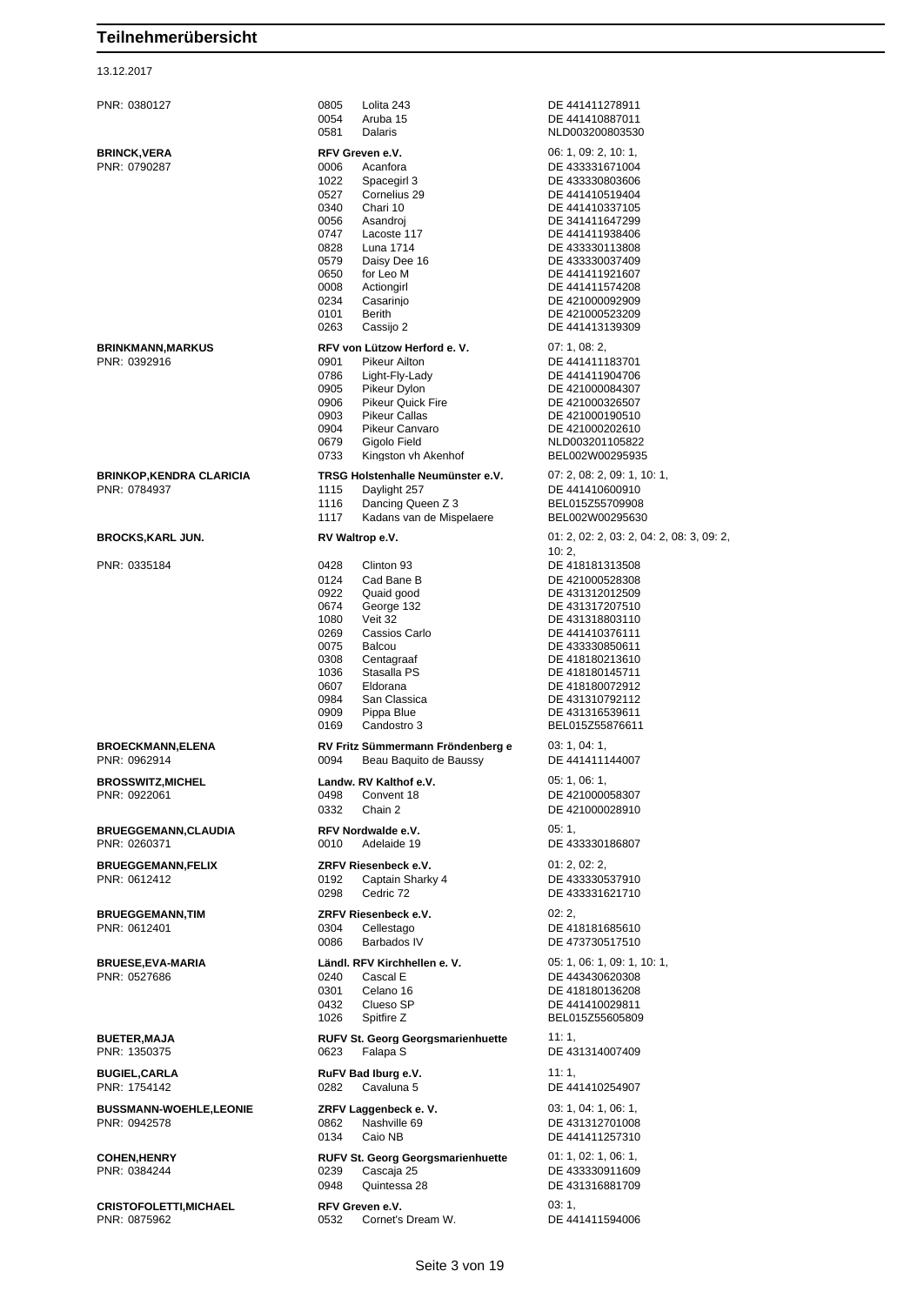| PNR: 0380127                        | 0805         | Lolita 243                               | DE 441411278911                           |
|-------------------------------------|--------------|------------------------------------------|-------------------------------------------|
|                                     | 0054<br>0581 | Aruba 15<br>Dalaris                      | DE 441410887011<br>NLD003200803530        |
|                                     |              |                                          |                                           |
| <b>BRINCK,VERA</b><br>PNR: 0790287  | 0006         | RFV Greven e.V.<br>Acanfora              | 06: 1, 09: 2, 10: 1,<br>DE 433331671004   |
|                                     | 1022         | Spacegirl 3                              | DE 433330803606                           |
|                                     | 0527         | Cornelius 29                             | DE 441410519404                           |
|                                     | 0340         | Chari 10                                 | DE 441410337105                           |
|                                     | 0056         | Asandroj                                 | DE 341411647299                           |
|                                     | 0747         | Lacoste 117                              | DE 441411938406                           |
|                                     | 0828         | Luna 1714                                | DE 433330113808                           |
|                                     | 0579         | Daisy Dee 16                             | DE 433330037409                           |
|                                     | 0650         | for Leo M                                | DE 441411921607                           |
|                                     | 0008<br>0234 | Actiongirl<br>Casarinjo                  | DE 441411574208<br>DE 421000092909        |
|                                     | 0101         | Berith                                   | DE 421000523209                           |
|                                     | 0263         | Cassijo 2                                | DE 441413139309                           |
| BRINKMANN,MARKUS                    |              | RFV von Lützow Herford e. V.             | 07:1,08:2,                                |
| PNR: 0392916                        | 0901         | <b>Pikeur Ailton</b>                     | DE 441411183701                           |
|                                     | 0786         | Light-Fly-Lady                           | DE 441411904706                           |
|                                     | 0905         | Pikeur Dylon                             | DE 421000084307                           |
|                                     | 0906         | <b>Pikeur Quick Fire</b>                 | DE 421000326507                           |
|                                     | 0903         | <b>Pikeur Callas</b>                     | DE 421000190510                           |
|                                     | 0904         | Pikeur Canvaro                           | DE 421000202610                           |
|                                     | 0679<br>0733 | Gigolo Field<br>Kingston vh Akenhof      | NLD003201105822<br>BEL002W00295935        |
|                                     |              |                                          |                                           |
| BRINKOP,KENDRA CLARICIA             |              | TRSG Holstenhalle Neumünster e.V.        | 07: 2, 08: 2, 09: 1, 10: 1,               |
| PNR: 0784937                        | 1115         | Daylight 257                             | DE 441410600910                           |
|                                     | 1116<br>1117 | Dancing Queen Z 3                        | BEL015Z55709908                           |
|                                     |              | Kadans van de Mispelaere                 | BEL002W00295630                           |
| BROCKS,KARL JUN.                    |              | RV Waltrop e.V.                          | 01: 2, 02: 2, 03: 2, 04: 2, 08: 3, 09: 2, |
|                                     |              |                                          | 10:2,                                     |
| PNR: 0335184                        | 0428         | Clinton 93                               | DE 418181313508                           |
|                                     | 0124<br>0922 | Cad Bane B<br>Quaid good                 | DE 421000528308<br>DE 431312012509        |
|                                     | 0674         | George 132                               | DE 431317207510                           |
|                                     | 1080         | Veit 32                                  | DE 431318803110                           |
|                                     | 0269         | Cassios Carlo                            | DE 441410376111                           |
|                                     | 0075         | <b>Balcou</b>                            | DE 433330850611                           |
|                                     | 0308         | Centagraaf                               | DE 418180213610                           |
|                                     | 1036         | Stasalla PS                              | DE 418180145711                           |
|                                     | 0607         | Eldorana                                 | DE 418180072912                           |
|                                     | 0984<br>0909 | San Classica<br>Pippa Blue               | DE 431310792112<br>DE 431316539611        |
|                                     | 0169         | Candostro 3                              | BEL015Z55876611                           |
| <b>BROECKMANN,ELENA</b>             |              | RV Fritz Sümmermann Fröndenberg e        | 03: 1, 04: 1,                             |
| PNR: 0962914                        | 0094         | Beau Baquito de Baussy                   | DE 441411144007                           |
|                                     |              |                                          |                                           |
| BROSSWITZ,MICHEL                    |              | Landw. RV Kalthof e.V.                   | 05: 1, 06: 1,                             |
| PNR: 0922061                        | 0498<br>0332 | Convent 18<br>Chain 2                    | DE 421000058307                           |
|                                     |              |                                          | DE 421000028910                           |
| <b>BRUEGGEMANN,CLAUDIA</b>          |              | RFV Nordwalde e.V.                       | 05:1                                      |
| PNR: 0260371                        | 0010         | Adelaide 19                              | DE 433330186807                           |
| <b>BRUEGGEMANN,FELIX</b>            |              | ZRFV Riesenbeck e.V.                     | 01: 2, 02: 2,                             |
| PNR: 0612412                        | 0192         | Captain Sharky 4                         | DE 433330537910                           |
|                                     | 0298         | Cedric 72                                | DE 433331621710                           |
| <b>BRUEGGEMANN,TIM</b>              |              | ZRFV Riesenbeck e.V.                     | 02:2.                                     |
| PNR: 0612401                        | 0304         | Cellestago                               | DE 418181685610                           |
|                                     | 0086         | Barbados IV                              | DE 473730517510                           |
| <b>BRUESE,EVA-MARIA</b>             |              | Ländl. RFV Kirchhellen e. V.             | 05: 1, 06: 1, 09: 1, 10: 1,               |
| PNR: 0527686                        | 0240         | Cascal E                                 | DE 443430620308                           |
|                                     | 0301         | Celano 16                                | DE 418180136208                           |
|                                     | 0432         | Clueso SP                                | DE 441410029811                           |
|                                     | 1026         | Spitfire Z                               | BEL015Z55605809                           |
| <b>BUETER,MAJA</b>                  |              | <b>RUFV St. Georg Georgsmarienhuette</b> | 11:1.                                     |
| PNR: 1350375                        | 0623         | Falapa S                                 | DE 431314007409                           |
|                                     |              |                                          | 11:1.                                     |
| <b>BUGIEL,CARLA</b><br>PNR: 1754142 | 0282         | RuFV Bad Iburg e.V.<br>Cavaluna 5        | DE 441410254907                           |
|                                     |              |                                          |                                           |
| <b>BUSSMANN-WOEHLE,LEONIE</b>       |              | ZRFV Laggenbeck e.V.                     | 03: 1, 04: 1, 06: 1,                      |
| PNR: 0942578                        | 0862         | Nashville 69                             | DE 431312701008                           |
|                                     | 0134         | Caio NB                                  | DE 441411257310                           |
| <b>COHEN,HENRY</b>                  |              | <b>RUFV St. Georg Georgsmarienhuette</b> | 01: 1, 02: 1, 06: 1,                      |
| PNR: 0384244                        | 0239         | Cascaja 25                               | DE 433330911609                           |
|                                     | 0948         | Quintessa 28                             | DE 431316881709                           |
| CRISTOFOLETTI,MICHAEL               |              | RFV Greven e.V.                          | 03:1,                                     |
|                                     |              |                                          |                                           |
| PNR: 0875962                        | 0532         | Cornet's Dream W.                        | DE 441411594006                           |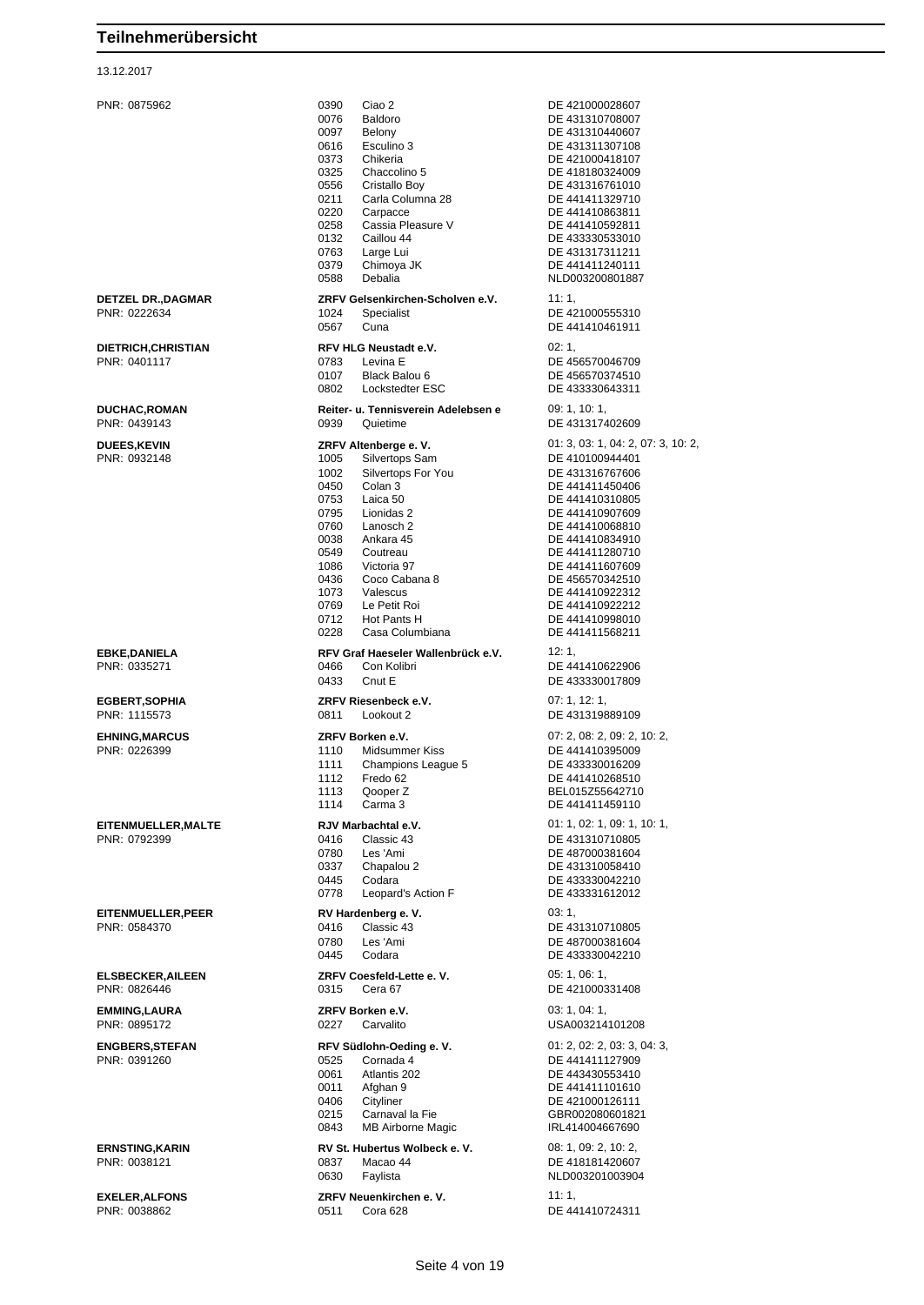#### 13.12.2017

PNR: 0875962 0390 Ciao 2 DE 421000028607 0076 Baldoro DE 431310708007<br>0097 Belony DE 431310440607 0097 Belony DE 431310440607<br>0616 Esculino 3 DE 431311307108 Esculino 3 DE 431311307108 0373 Chikeria DE 421000418107 0556 Cristallo Boy DE 431316761010 0211 Carla Columna 28 DE 441411329710<br>0220 Carpacce DE 441410863811 0220 Carpacce DE 441410863811<br>0258 Cassia Pleasure V DE 441410592811 Cassia Pleasure V<br>Caillou 44 0132 Caillou 44 DE 433330533010<br>0763 Large Lui DE 431317311211 0763 Large Lui DE 431317311211<br>0379 Chimoya JK DE 441411240111 0379 Chimoya JK DE 441411240111<br>0588 Debalia DE NLD00320080188 **DETZEL DR.,DAGMAR ZRFV Gelsenkirchen-Scholven e.V.** 11: 1, PNR: 0222634 **DE 4:** 0567 Cuna DE 441410461911 **DIETRICH,CHRISTIAN RFV HLG Neustadt e.V.** 02: 1,<br>PNR: 0401117 **DE 45 DE 45 DE 45** 0107 Black Balou 6 DE 456570374510<br>0802 Lockstedter ESC DE 433330643311 0802 Lockstedter ESC DE 433330643311 **DUCHAC,ROMAN Reiter- u. Tennisverein Adelebsen e** 09: 1, 10: 1, PNR: 0439143 0939 Quietime DE 431317402609 **DUEES,KEVIN ZRFV Altenberge e. V.** 01: 3, 03: 1, 04: 2, 07: 3, 10: 2, PNR: 0932148 1005 Silvertops Sam DE 410100944401 1002 Silvertops For You DE 431316767606<br>0450 Colan 3 DE 441411450406 0450 Colan 3 DE 441411450406 0753 Laica 50 DE 441410310805<br>0795 Lionidas 2 DE 441410907609 0795 Lionidas 2 DE 441410907609<br>0760 Lanosch 2 DE 441410068810 0760 Lanosch 2 DE 441410068810<br>0038 Ankara 45 DE 441410834910 0038 Ankara 45 DE 441410834910 0549 Coutreau DE 441411280710 1086 Victoria 97 DE 441411607609 0436 Coco Cabana 8 DE 456570342510<br>1073 Valescus DE 441410922312 1073 Valescus DE 441410922312 0769 Le Petit Roi DE 441410922212 0712 Hot Pants H<br>0228 Casa Columbiana<br>DE 441411568211 **EBKE,DANIELA RFV Graf Haeseler Wallenbrück e.V.** 12: 1, 0466 Con Kolibri **DE 441410622906** 0433 Cnut E DE 433330017809 **EGBERT,SOPHIA ZRFV Riesenbeck e.V.** 07: 1, 12: 1, PNR: 1115573 0811 Lookout 2 DE 431319889109 **EHNING,MARCUS ZRFV Borken e.V.** 07: 2, 08: 2, 09: 2, 10: 2, PNR: 0226399 1110 Midsummer Kiss DE 441410395009 1111 Champions League 5 DE 433330016209 1112 Fredo 62 DE 441410268510 1113 Qooper Z BEL015Z55642710 1114 Carma 3 DE 441411459110 **EITENMUELLER,MALTE RJV Marbachtal e.V.** 01: 1, 02: 1, 09: 1, 10: 1, PNR: 0792399 0416 Classic 43 DE 431310710805 0780 Les 'Ami DE 487000381604 0337 Chapalou 2 DE 431310058410 0445 Codara DE 433330042210 Leopard's Action F **EITENMUELLER,PEER RV Hardenberg e. V.** 03: 1, PNR: 0584370 0416 Classic 43 DE 431310710805 0780 Les 'Ami DE 487000381604 0445 Codara **DE 433330042210 ELSBECKER,AILEEN ZRFV Coesfeld-Lette e. V.** 05: 1, 06: 1, PNR: 0826446 0315 Cera 67 DE 421000331408 **EMMING,LAURA ZRFV Borken e.V.** 03: 1, 04: 1, PNR: 0895172 0227 Carvalito USA003214101208 **ENGBERS,STEFAN RFV Südlohn-Oeding e. V.** 01: 2, 02: 2, 03: 3, 04: 3, PNR: 0391260 0525 Cornada 4 DE 441411127909 0061 Atlantis 202 DE 443430553410<br>
0011 Afghan 9 DE 441411101610 0011 Afghan 9 DE 441411101610<br>0406 Cityliner DE 421000126111 0215 Carnaval la Fie GBR002080601821<br>0843 MB Airborne Magic GBRL414004667690 MB Airborne Magic **ERNSTING,KARIN RV St. Hubertus Wolbeck e. V.** 08: 1, 09: 2, 10: 2,

DE 418180324009 NLD003200801887 DE 421000555310 DE 456570046709 DE 441411568211 DE 421000126111 DE 418181420607 0630 Faylista NLD003201003904 **EXELER,ALFONS ZRFV Neuenkirchen e. V.** 11: 1, DE 441410724311

Seite 4 von 19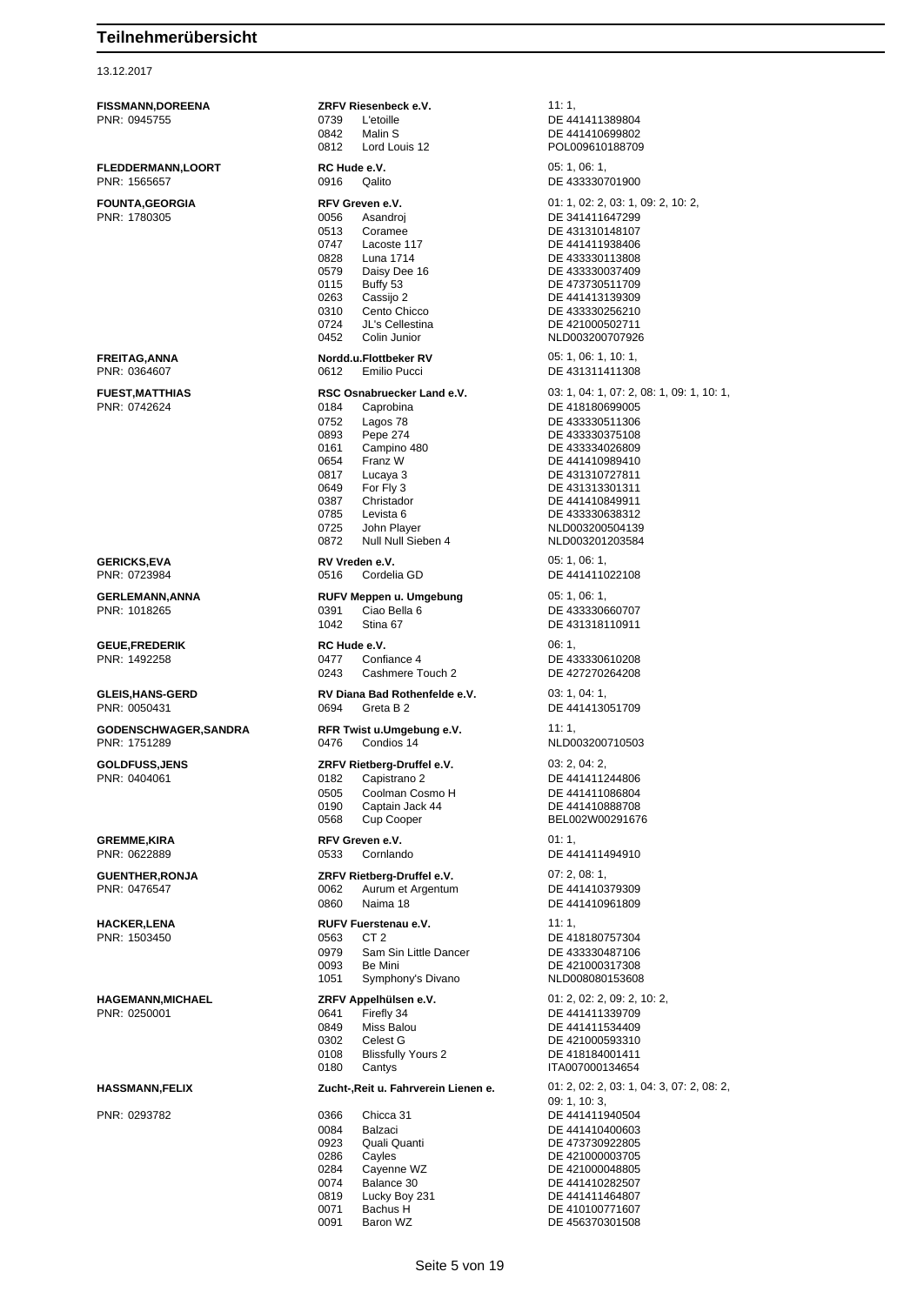#### 13.12.2017

**FISSMANN,DOREENA ZRFV Riesenbeck e.V.** 11: 1, PNR: 0945755 0739 L'etoille DE 441411389804 0842 Malin S<br>
0812 Lord Louis 12 POL009610188709 0812 Lord Louis 12 POL009610188709 **FLEDDERMANN,LOORT RC Hude e.V. RC HUGE 2009 RC HUGE 2009 05: 1, 06: 1,** PNR: 1565657 0916 Qalito DE 433330701900 Asandroj DE 341411647299 0513 Coramee DE 431310148107 0747 Lacoste 117 DE 441411938406 0579 Daisy Dee 16 DE 433330037409<br>0115 Buffy 53 DE 473730511709 0115 Buffy 53 DE 473730511709 0263 Cassijo 2 DE 441413139309 0310 Cento Chicco DE 433330256210 0724 JL's Cellestina DE 421000502711 0452 Colin Junior NLD003200707926 **FREITAG,ANNA Nordd.u.Flottbeker RV** 05: 1, 06: 1, 10: 1, PNR: 0364607 0612 Emilio Pucci DE 431311411308 PNR: 0742624 0184 Caprobina DE 418180699005 0752 Lagos 78 DE 433330511306 0893 Pepe 274 DE 433330375108 0161 Campino 480 DE 433334026809<br>0654 Franz W DE 441410989410 0654 Franz W DE 441410989410 0817 Lucaya 3 DE 431310727811 0649 For Fly 3 DE 431313301311 0387 Christador DE 441410849911<br>19785 Levista 6 DE 433330638312 0785 Levista 6 DE 433330638312<br>19725 John Player Camera NLD003200504139 0725 John Player NLD003200504139 0872 Null Null Sieben 4 NLD003201203584 **GERICKS,EVA RV Vreden e.V. RV Vieden e.V.** 05: 1, 06: 1, 06: 1, 06: 1, 06: 1, 06: 1, 06: 1, 06: 1, 06: 1, 06: 1, 06: 1, 06: 1, 06: 1, 06: 1, 06: 1, 06: 1, 06: 1, 06: 1, 06: 1, 06: 1, 06: 1, 06: 1, 06: 1, 06: 1, 06: 1, **GERLEMANN,ANNA RUFV Meppen u. Umgebung** 05: 1, 06: 1, 06: 1, 06: 1, 06: 1, 06: 1, 06: 1, 06: 1, 06: 1, 06: 1, 06: 1, 06: 1, 06: 1, 06: 1, 07: 2, 07: 2, 07: 2, 07: 2, 07: 2, 07: 2, 07: 2, 07: 2, 07: 2, 07: 2, 07: 2, 07: 1042 Stina 67 DE 431318110911 **GEUE,FREDERIK RC Hude e.V.** 06: 1, 0243 Cashmere Touch 2 DE 427270264208 **GLEIS,HANS-GERD RV Diana Bad Rothenfelde e.V.** 03: 1, 04: 1, PNR: 0050431 0694 Greta B 2 DE 441413051709 **GODENSCHWAGER,SANDRA RFR Twist u.Umgebung e.V.** 11: 1,<br>PNR: 1751289 **Ref RIGHT CONDENSE 14 RIGHT RIGHT RIGHT RIGHT RIGHT RIGHT RIGHT RIGHT RIGHT RIGHT RIGHT RIGHT RIGHT RIGHT RIGHT RIGHT RIGHT RIGHT RIGHT RIGHT RIGH** 0476 Condios 14 NLD003200710503 **GOLDFUSS,JENS ZRFV Rietberg-Druffel e.V.** 03: 2, 04: 2, 04: 2, 04: 2, 04: 2, 05: 2, 04: 2, 05: 2, 04: 2, 05: 2, 04: 2, 05: 2, 04: 2, 05: 2, 04: 2, 05: 2, 04: 2, 05: 2, 04: 2, 05: 2, 04: 2, 05: 2, 05: 2, 05: 2, 05: 2, 05 0182 Capistrano 2 DE 441411244806 0505 Coolman Cosmo H DE 441411086804 0190 Captain Jack 44 DE 441410888708 0568 Cup Cooper BEL002W00291676 **GREMME,KIRA RFV Greven e.V.** 01: 1, PNR: 0622889 0533 Cornlando DE 441411494910 **GUENTHER,RONJA ZRFV Rietberg-Druffel e.V.** 07: 2, 08: 1,<br>
PNR: 0476547<br>
OO62 Aurum et Argentum<br>
DE 441410379309 0062 Aurum et Argentum 0860 Naima 18 DE 441410961809 **HACKER,LENA RUFV Fuerstenau e.V.** 11: 1, PNR: 1503450 0563 CT 2 DE 418180757304 0979 Sam Sin Little Dancer DE 433330487106 0093 Be Mini DE 421000317308<br>1051 Symphony's Divano NLD008080153608 Symphony's Divano **HAGEMANN,MICHAEL ZRFV Appelhülsen e.V.** 01: 2, 02: 2, 09: 2, 10: 2, 0641 Firefly 34 DE 441411339709<br>0849 Miss Balou DE 441411534409 0849 Miss Balou DE 441411534409<br>0302 Celest G DE 421000593310 Celest G<br>
DE 421000593310<br>
DE 418184001411 0108 Blissfully Yours 2 0180 Cantys ITA007000134654 PNR: 0293782 0366 Chicca 31 DE 441411940504 0084 Balzaci DE 441410400603 0923 Quali Quanti DE 473730922805<br>0286 Cayles DE 421000003705 0286 Cayles DE 421000003705 0284 Cayenne WZ DE 421000048805<br>0074 Balance 30 DE 441410282507 0074 Balance 30 DE 441410282507<br>0819 Lucky Boy 231 DE 441411464807

**FOUNTA,GEORGIA RFV Greven e.V. COUNTA,GEORGIA REVIEW REVIEW ARE ALCONDUMENT CONTACT AND REVIEW ON A SANDRO DE 341411647299** DE 433330113808 **FUEST,MATTHIAS RSC Osnabruecker Land e.V.** 03: 1, 04: 1, 07: 2, 08: 1, 09: 1, 10: 1, DE 441411022108 DE 433330660707 PNR: 1492258 0477 Confiance 4 DE 433330610208 **HASSMANN,FELIX Zucht-,Reit u. Fahrverein Lienen e.** 01: 2, 02: 2, 03: 1, 04: 3, 07: 2, 08: 2, 09: 1, 10: 3, DE 441411464807 0071 Bachus H DE 410100771607<br>0091 Baron WZ DE 456370301508 Baron WZ DE 456370301508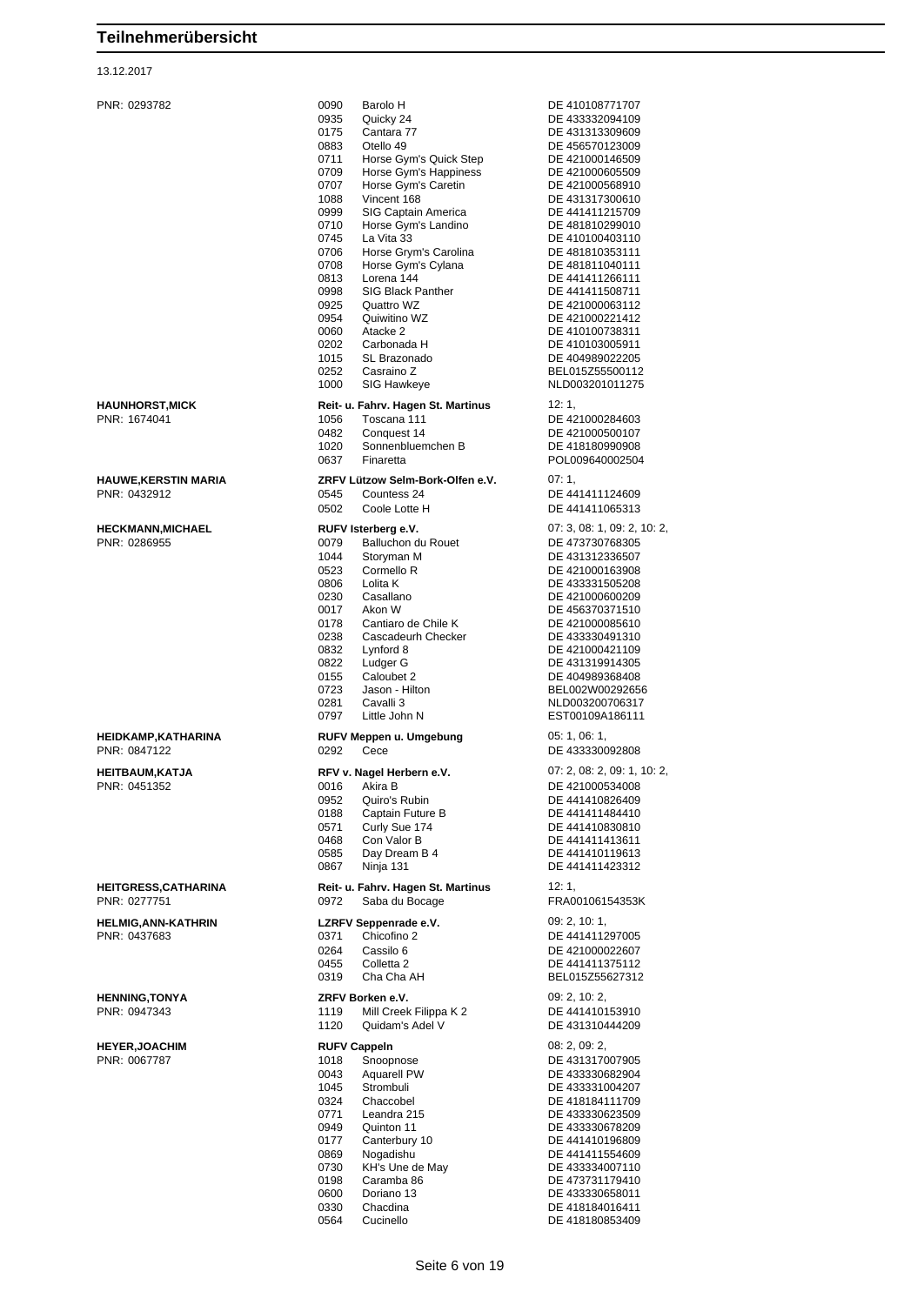#### 13.12.2017

| PNR: 0293782                                | 0090<br>Barolo H<br>0935<br>Quicky 24<br>0175<br>Cantara 77<br>0883<br>Otello 49<br>0711<br>Horse Gym's Quick Step<br>0709<br>Horse Gym's Happiness<br>0707<br>Horse Gym's Caretin<br>Vincent 168<br>1088<br>0999<br>SIG Captain America<br>0710<br>Horse Gym's Landino<br>0745<br>La Vita 33<br>0706<br>Horse Grym's Carolina<br>0708<br>Horse Gym's Cylana<br>0813<br>Lorena 144<br>0998<br><b>SIG Black Panther</b><br>0925<br>Quattro WZ<br>0954<br>Quiwitino WZ<br>0060<br>Atacke 2<br>0202<br>Carbonada H<br>1015<br>SL Brazonado<br>0252<br>Casraino Z<br>1000<br>SIG Hawkeye | DE 410108771707<br>DE 433332094109<br>DE 431313309609<br>DE 456570123009<br>DE 421000146509<br>DE 421000605509<br>DE 421000568910<br>DE 431317300610<br>DE 441411215709<br>DE 481810299010<br>DE 410100403110<br>DE 481810353111<br>DE 481811040111<br>DE 441411266111<br>DE 441411508711<br>DE 421000063112<br>DE 421000221412<br>DE 410100738311<br>DE 410103005911<br>DE 404989022205<br>BEL015Z55500112<br>NLD003201011275 |
|---------------------------------------------|--------------------------------------------------------------------------------------------------------------------------------------------------------------------------------------------------------------------------------------------------------------------------------------------------------------------------------------------------------------------------------------------------------------------------------------------------------------------------------------------------------------------------------------------------------------------------------------|--------------------------------------------------------------------------------------------------------------------------------------------------------------------------------------------------------------------------------------------------------------------------------------------------------------------------------------------------------------------------------------------------------------------------------|
| <b>HAUNHORST, MICK</b><br>PNR: 1674041      | Reit- u. Fahrv. Hagen St. Martinus<br>1056<br>Toscana 111<br>0482<br>Conquest 14<br>1020<br>Sonnenbluemchen B<br>0637<br>Finaretta                                                                                                                                                                                                                                                                                                                                                                                                                                                   | 12:1,<br>DE 421000284603<br>DE 421000500107<br>DE 418180990908<br>POL009640002504                                                                                                                                                                                                                                                                                                                                              |
| <b>HAUWE, KERSTIN MARIA</b><br>PNR: 0432912 | ZRFV Lützow Selm-Bork-Olfen e.V.<br>0545<br>Countess 24<br>0502<br>Coole Lotte H                                                                                                                                                                                                                                                                                                                                                                                                                                                                                                     | 07: 1,<br>DE 441411124609<br>DE 441411065313                                                                                                                                                                                                                                                                                                                                                                                   |
| <b>HECKMANN, MICHAEL</b><br>PNR: 0286955    | RUFV Isterberg e.V.<br>Balluchon du Rouet<br>0079<br>1044<br>Storyman M<br>0523<br>Cormello R<br>0806<br>Lolita K<br>0230<br>Casallano<br>0017<br>Akon W<br>Cantiaro de Chile K<br>0178<br>0238<br>Cascadeurh Checker<br>0832<br>Lynford 8<br>0822<br>Ludger G<br>0155<br>Caloubet 2<br>0723<br>Jason - Hilton<br>0281<br>Cavalli 3<br>0797<br>Little John N                                                                                                                                                                                                                         | 07: 3, 08: 1, 09: 2, 10: 2,<br>DE 473730768305<br>DE 431312336507<br>DE 421000163908<br>DE 433331505208<br>DE 421000600209<br>DE 456370371510<br>DE 421000085610<br>DE 433330491310<br>DE 421000421109<br>DE 431319914305<br>DE 404989368408<br>BEL002W00292656<br>NLD003200706317<br>EST00109A186111                                                                                                                          |
| <b>HEIDKAMP, KATHARINA</b><br>PNR: 0847122  | RUFV Meppen u. Umgebung<br>0292<br>Cece                                                                                                                                                                                                                                                                                                                                                                                                                                                                                                                                              | 05: 1, 06: 1,<br>DE 433330092808                                                                                                                                                                                                                                                                                                                                                                                               |
| <b>HEITBAUM, KATJA</b><br>PNR: 0451352      | RFV v. Nagel Herbern e.V.<br>0016<br>Akira B<br>0952<br>Quiro's Rubin<br>0188<br>Captain Future B<br>0571<br>Curly Sue 174<br>0468<br>Con Valor B<br>0585<br>Day Dream B 4<br>0867<br>Ninja 131                                                                                                                                                                                                                                                                                                                                                                                      | 07: 2, 08: 2, 09: 1, 10: 2,<br>DE 421000534008<br>DE 441410826409<br>DE 441411484410<br>DE 441410830810<br>DE 441411413611<br>DE 441410119613<br>DE 441411423312                                                                                                                                                                                                                                                               |
| <b>HEITGRESS, CATHARINA</b><br>PNR: 0277751 | Reit- u. Fahrv. Hagen St. Martinus<br>0972<br>Saba du Bocage                                                                                                                                                                                                                                                                                                                                                                                                                                                                                                                         | 12:1,<br>FRA00106154353K                                                                                                                                                                                                                                                                                                                                                                                                       |
| <b>HELMIG, ANN-KATHRIN</b><br>PNR: 0437683  | LZRFV Seppenrade e.V.<br>0371<br>Chicofino 2<br>0264<br>Cassilo 6<br>Colletta <sub>2</sub><br>0455<br>0319<br>Cha Cha AH                                                                                                                                                                                                                                                                                                                                                                                                                                                             | 09: 2, 10: 1,<br>DE 441411297005<br>DE 421000022607<br>DE 441411375112<br>BEL015Z55627312                                                                                                                                                                                                                                                                                                                                      |
| <b>HENNING, TONYA</b><br>PNR: 0947343       | ZRFV Borken e.V.<br>1119<br>Mill Creek Filippa K 2<br>1120<br>Quidam's Adel V                                                                                                                                                                                                                                                                                                                                                                                                                                                                                                        | 09: 2, 10: 2,<br>DE 441410153910<br>DE 431310444209                                                                                                                                                                                                                                                                                                                                                                            |
| <b>HEYER, JOACHIM</b><br>PNR: 0067787       | <b>RUFV Cappeln</b><br>Snoopnose<br>1018<br>0043<br><b>Aquarell PW</b><br>1045<br>Strombuli<br>0324<br>Chaccobel<br>0771<br>Leandra 215<br>0949<br>Quinton 11<br>0177<br>Canterbury 10<br>0869<br>Nogadishu<br>KH's Une de May<br>0730<br>0198<br>Caramba 86<br>0600<br>Doriano 13<br>0330<br>Chacdina                                                                                                                                                                                                                                                                               | 08: 2, 09: 2,<br>DE 431317007905<br>DE 433330682904<br>DE 433331004207<br>DE 418184111709<br>DE 433330623509<br>DE 433330678209<br>DE 441410196809<br>DE 441411554609<br>DE 433334007110<br>DE 473731179410<br>DE 433330658011<br>DE 418184016411                                                                                                                                                                              |

DE 418184016411

0564 Cucinello DE 418180853409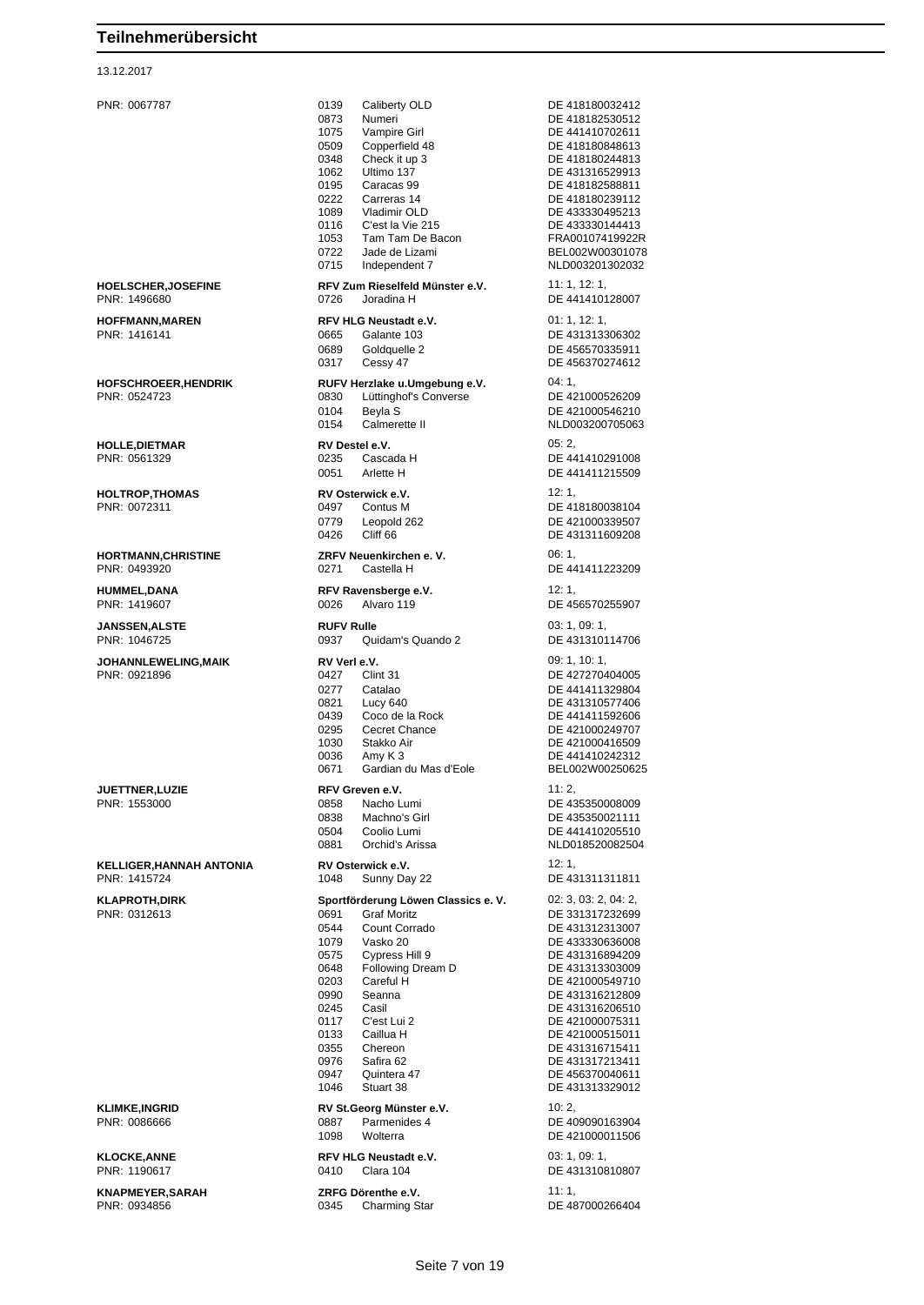#### 13.12.2017

PNR: 0067787 0139 Caliberty OLD DE 418180032412 0873 Numeri DE 418182530512<br>1075 Vampire Girl DE 441410702611 1075 Vampire Girl<br>0509 Copperfield 48 DE 418180848613 0348 Check it up 3 DE 418180244813<br>1062 Ultimo 137 DE 431316529913 DE 431316529913 0195 Caracas 99 DE 418182588811 0222 Carreras 14 DE 418180239112<br>1089 Vladimir OLD DE 433330495213 1089 Vladimir OLD DE 433330495213 0116 C'est la Vie 215 DE 433330144413 1053 Tam Tam De Bacon<br>0722 Jade de Lizami 0722 Jade de Lizami BEL002W00301078 0715 Independent 7 NLD003201302032 **HOELSCHER,JOSEFINE RFV Zum Rieselfeld Münster e.V.** 11: 1, 12: 1, PNR: 1496680 0726 Joradina H DE 441410128007 **HOFFMANN,MAREN RFV HLG Neustadt e.V.** 01: 1, 12: 1, PNR: 1416141 0665 Galante 103 DE 431313306302 0689 Goldquelle 2 DE 456570335911<br>0317 Cessy 47 DE 456370274612 0317 Cessy 47 DE 456370274612 **HOFSCHROEER,HENDRIK RUFV Herzlake u.Umgebung e.V.** 04: 1, 0830 Lüttinghof's Converse<br>0104 Beyla S 0104 Beyla S 0154 Calmerette II NLD003200705063 **HOLLE,DIETMAR RV Destel e.V.** 05: 2, PNR: 0561329 0235 Cascada H DE 441410291008 0051 Arlette H DE 441411215509 **HOLTROP.THOMAS RV Osterwick e.V. RV Osterwick e.V.** 12: 1, PNR: 0072311 0497 Contus M DE 418180038104 0779 Leopold 262 DE 421000339507<br>0426 Cliff 66 DE 431311609208 0426 Cliff 66 DE 431311609208 **HORTMANN,CHRISTINE ZRFV Neuenkirchen e. V.** 06: 1, PNR: 0493920 0271 Castella H DE 441411223209 **HUMMEL,DANA RFV Ravensberge e.V.** 12: 1, 12: 1, 12: 1, 12: 1, 12: 1, 12: 1, 12: 1, 12: 1, 12: 1, 12: 1, 12: 1, 12: 1, 12: 1, 12: 1, 12: 1, 12: 1, 12: 1, 12: 1, 12: 1, 12: 1, 12: 1, 12: 1, 12: 1, 12: 1, 12: 1, 12: 1, 12: 0026 Alvaro 119 DE 456570255907 **JANSSEN,ALSTE RUFV Rulle** 03: 1, 09: 1, PNR: 1046725 0937 Quidam's Quando 2 DE 431310114706 **JOHANNLEWELING,MAIK RV Verl e.V. RV 1.0: 1, 10: 1, 10: 1, 10: 1, 10: 1, 10: 1, 10: 1, 10: 1, 10: 1, 10: 1, 10: 1, 10: 1, 10: 1, 10: 1, 10: 1, 10: 1, 10: 1, 10: 1, 10: 1, 10: 1, 10: 1, 10: 1, 10: 1, 10: 1, 10: 1, 10: 1** DE 427270404005 0277 Catalao DE 441411329804 0821 Lucy 640 DE 431310577406 0439 Coco de la Rock DE 441411592606<br>0295 Cecret Chance DE 421000249707 0295 Cecret Chance Chance DE 421000249707<br>1030 Chance Chance DE 421000416509 DE 421000416509 0036 Amy K 3 DE 441410242312<br>0671 Gardian du Mas d'Eole BEL002W00250625 0671 Gardian du Mas d'Eole **JUETTNER, LUZIE RFV Greven e.V. RFV Greven e.V.** 11: 2, PNR: 1553000 0858 Nacho Lumi DE 435350008009 0838 Machno's Girl **DE 435350021111**<br>0504 Coolio Lumi DE 441410205510 0501 Coolio Lumi 2006 Coolio Lumi 2006 Coolio Lumi 2006 2014<br>2008 NLD01852008250 0881 Orchid's Arissa NLD018520082504 **KELLIGER,HANNAH ANTONIA RV Osterwick e.V. RV 12: 1,**<br>PNR: 1415724 **DE 43 1048 Sunny Day 22 DE 43** DE 431311311811 **KLAPROTH,DIRK Sportförderung Löwen Classics e. V.** 02: 3, 03: 2, 04: 2, 0691 Graf Moritz DE 331317232699<br>0544 Count Corrado DE 431312313007 0544 Count Corrado DE 431312313007 1079 Vasko 20 DE 433330636008 0575 Cypress Hill 9 DE 431316894209 0648 Following Dream D DE 431313303009 0203 Careful H DE 421000549710 DE 431316212809 0245 Casil DE 431316206510 0117 C'est Lui 2 DE 421000075311 0133 Caillua H DE 421000515011<br>0355 Chereon DE 431316715411 0355 Chereon DE 431316715411<br>0976 Safira 62 DE 431317213411 Safira 62 DE 431317213411<br>Quintera 47 DE 456370040611 0947 Quintera 47 DE 456370040611<br>1046 Stuart 38 DE 431313329012 1046 Stuart 38 DE 431313329012 **KLIMKE,INGRID RV St.Georg Münster e.V.** 10: 2,<br>
PNR: 0086666 **DE 40**<br>
DE 40 0887 Parmenides 4 DE 409090163904 1098 Wolterra DE 421000011506 **KLOCKE,ANNE RFV HLG Neustadt e.V.** 03: 1, 09: 1, DE 431310810807 **KNAPMEYER,SARAH ZRFG Dörenthe e.V.** 11: 1, 0345 Charming Star DE 487000266404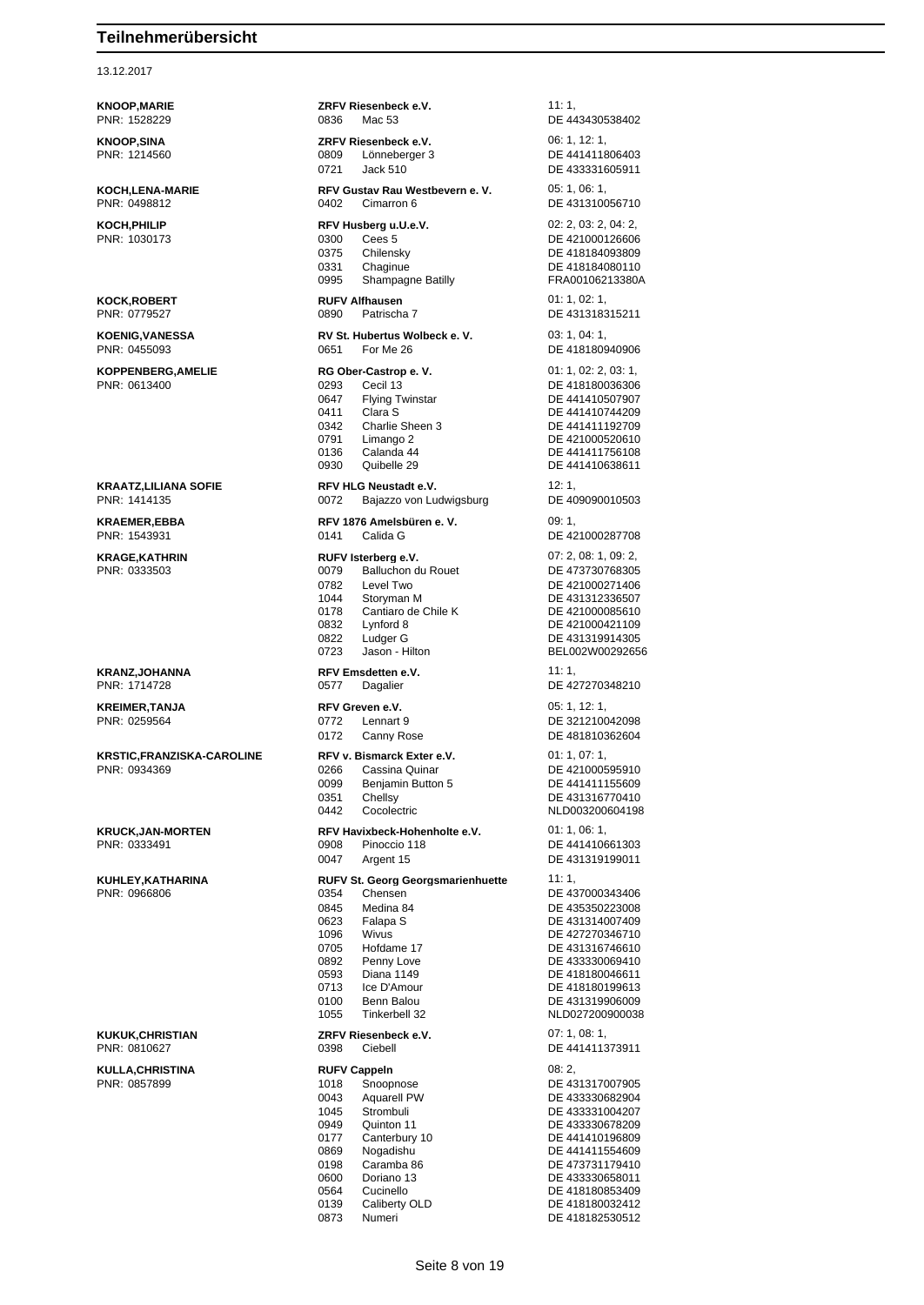#### 13.12.2017

**KNOOP,MARIE ZRFV Riesenbeck e.V.** 11: 1, PNR: 1528229 0836 Mac 53 DE 443430538402 **KNOOP,SINA ZRFV Riesenbeck e.V.** 06: 1, 12: 1, PNR: 1214560 0809 Lönneberger 3 DE 441411806403 0721 Jack 510 DE 433331605911 **KOCH,LENA-MARIE RFV Gustav Rau Westbevern e. V.** 05: 1, 06: 1, PNR: 0498812 0402 Cimarron 6 DE 431310056710 **KOCH,PHILIP RFV Husberg u.U.e.V. REV HUSBER 102: 2, 03: 2, 04: 2, 04: 2, 05: 2, 04: 2, 05: 2, 04: 2, 05: 2, 04: 2, 05: 2, 04: 2, 05: 2, 04: 2, 05: 2, 04: 2, 05: 2, 04: 2, 05: 2, 04: 2, 05: 2, 04: 2, 05: 2, 04: 2, 05:** 0300 Cees 5 DE 421000126606 0375 Chilensky DE 418184093809 0331 Chaginue DE 418184080110 0995 Shampagne Batilly FRA00106213380A **KOCK,ROBERT RUFV Alfhausen** 01: 1, 02: 1, PNR: 0779527 0890 Patrischa 7 DE 431318315211 **KOENIG,VANESSA RV St. Hubertus Wolbeck e. V.** 03: 1, 04: 1, PNR: 0455093 0651 For Me 26 DE 418180940906 **KOPPENBERG,AMELIE RG Ober-Castrop e. V.** 01: 1, 02: 2, 03: 1, PNR: 0613400 0293 Cecil 13 DE 418180036306 0647 Flying Twinstar DE 441410507907 0411 Clara S<br>
0342 Charlie Sheen 3 DE 441411192709 DE 441411192709 0791 Limango 2 DE 421000520610<br>0136 Calanda 44 DE 441411756108 0136 Calanda 44 DE 441411756108<br>1930 Quibelle 29 DE 441410638611 DE 441410638611 **KRAATZ,LILIANA SOFIE RFV HLG Neustadt e.V.** 12: 1,<br>
PNR: 1414135 **PNR: 1414135 REXECUTE:** 0072 Bajazzo von Ludwigsburg DE 409090010503 0072 Bajazzo von Ludwigsburg **KRAEMER,EBBA RFV 1876 Amelsbüren e. V.** 09: 1, PNR: 1543931 0141 Calida G DE 421000287708 **KRAGE,KATHRIN RUFV Isterberg e.V.** 07: 2, 08: 1, 09: 2, 0079 Balluchon du Rouet 0782 Level Two DE 421000271406 1044 Storyman M DE 431312336507 0178 Cantiaro de Chile K DE 421000085610<br>0832 Lynford 8 DE 421000421109 DE 421000421109 0822 Ludger G DE 431319914305 0723 Jason - Hilton BEL002W00292656 **KRANZ,JOHANNA RFV Emsdetten e.V.** 11: 1, PNR: 1714728 0577 Dagalier DE 427270348210 **KREIMER,TANJA RFV Greven e.V. CONSUMING A REGION CONSUMING A REGION CONSUMING A REGION CONSUMING A REGION CONSUMING A REGION CONSUMING A REGION CONSUMING A REGION CONSUMING A REGION CONSUMING A REGION CONSUMING A REGI** PNR: 0259564 0772 Lennart 9 DE 321210042098 0172 Canny Rose DE 481810362604 **KRSTIC,FRANZISKA-CAROLINE RFV v. Bismarck Exter e.V.** 01: 1, 07: 1, PNR: 0934369 0266 Cassina Quinar DE 421000595910 0099 Benjamin Button 5 DE 441411155609<br>1951 Chellsv DE 431316770410 0351 Chellsy DE 431316770410<br>0442 Cocolectric NLD003200604198 0442 Cocolectric NLD003200604198 **KRUCK,JAN-MORTEN RFV Havixbeck-Hohenholte e.V.** 01: 1, 06: 1,<br>PNR: 0333491 **DE 4414106 PRICES** Pinoccio 118 DE 441410661303 0047 Argent 15 DE 431319199011 **KUHLEY,KATHARINA RUFV St. Georg Georgsmarienhuette** 11: 1, PNR: 0966806 0354 Chensen DE 437000343406 0845 Medina 84 DE 435350223008 0623 Falapa S DE 431314007409 1096 Wivus DE 427270346710<br>10705 Hofdame 17 DE 431316746610 0705 Hofdame 17 DE 431316746610<br>0892 Penny Love DE 433330069410 Penny Love **DE 433330069410**<br>Diana 1149 **DE 418180046611** 0593 Diana 1149 DE 418180046611 0713 Ice D'Amour DE 418180199613 0100 Benn Balou DE 431319906009<br>1055 Tinkerbell 32 NLD027200900038 NLD027200900038 **KUKUK,CHRISTIAN ZRFV Riesenbeck e.V.** 07: 1, 08: 1, PNR: 0810627 0398 Ciebell DE 441411373911 **KULLA,CHRISTINA RUFV Cappeln** 08: 2, Photophose DE 431317007905 0043 Aquarell PW DE 433330682904 1045 Strombuli DE 433331004207 0949 Quinton 11 DE 433330678209 0177 Canterbury 10 DE 441410196809 0869 Nogadishu DE 441411554609<br>0198 Caramba 86 DE 473731179410 0198 Caramba 86 DE 473731179410<br>0600 Doriano 13 DE 433330658011 DE 433330658011 0564 Cucinello DE 418180853409 0139 Caliberty OLD DE 418180032412<br>0873 Numeri DE 418182530512 Numeri DE 418182530512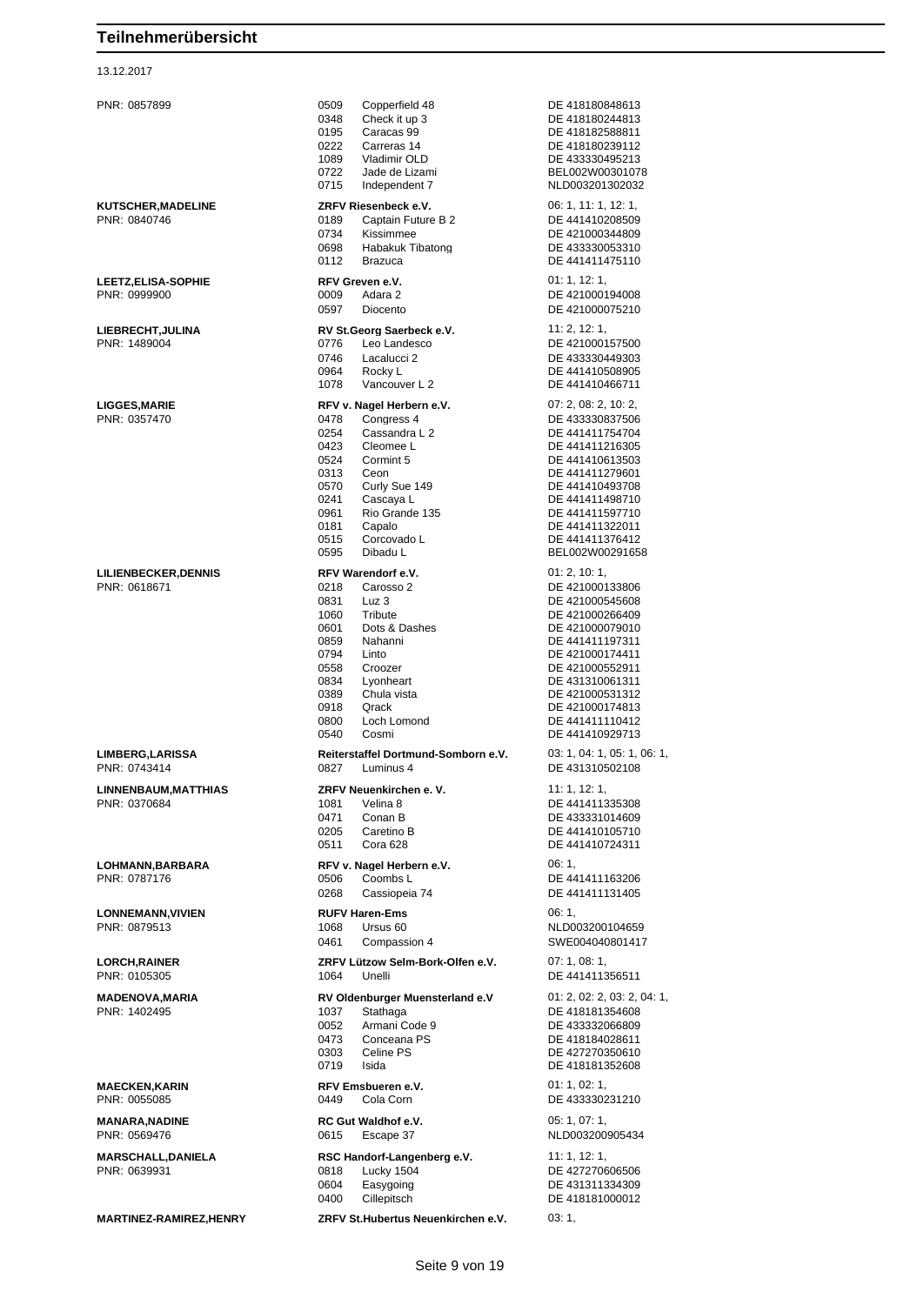| PNR: 0857899                               | 0509<br>Copperfield 48<br>0348<br>Check it up 3<br>0195<br>Caracas 99<br>0222<br>Carreras 14<br>1089<br>Vladimir OLD                                                                                                                                                    | DE 418180848613<br>DE 418180244813<br>DE 418182588811<br>DE 418180239112<br>DE 433330495213                                                                                                                                                       |
|--------------------------------------------|-------------------------------------------------------------------------------------------------------------------------------------------------------------------------------------------------------------------------------------------------------------------------|---------------------------------------------------------------------------------------------------------------------------------------------------------------------------------------------------------------------------------------------------|
|                                            | 0722<br>Jade de Lizami<br>0715<br>Independent 7                                                                                                                                                                                                                         | BEL002W00301078<br>NLD003201302032                                                                                                                                                                                                                |
| KUTSCHER, MADELINE<br>PNR: 0840746         | ZRFV Riesenbeck e.V.<br>0189<br>Captain Future B 2<br>0734<br>Kissimmee<br>0698<br>Habakuk Tibatong<br>0112<br><b>Brazuca</b>                                                                                                                                           | 06: 1, 11: 1, 12: 1,<br>DE 441410208509<br>DE 421000344809<br>DE 433330053310<br>DE 441411475110                                                                                                                                                  |
| <b>LEETZ, ELISA-SOPHIE</b><br>PNR: 0999900 | RFV Greven e.V.<br>0009<br>Adara 2<br>0597<br>Diocento                                                                                                                                                                                                                  | 01: 1, 12: 1,<br>DE 421000194008<br>DE 421000075210                                                                                                                                                                                               |
| LIEBRECHT, JULINA<br>PNR: 1489004          | RV St.Georg Saerbeck e.V.<br>0776<br>Leo Landesco<br>0746<br>Lacalucci 2<br>0964<br>Rocky L<br>1078<br>Vancouver L 2                                                                                                                                                    | 11: 2, 12: 1,<br>DE 421000157500<br>DE 433330449303<br>DE 441410508905<br>DE 441410466711                                                                                                                                                         |
| <b>LIGGES, MARIE</b><br>PNR: 0357470       | RFV v. Nagel Herbern e.V.<br>Congress 4<br>0478<br>0254<br>Cassandra L 2<br>0423<br>Cleomee L<br>0524<br>Cormint 5<br>0313<br>Ceon<br>0570<br>Curly Sue 149<br>0241<br>Cascaya L<br>0961<br>Rio Grande 135<br>Capalo<br>0181<br>0515<br>Corcovado L<br>0595<br>Dibadu L | 07: 2, 08: 2, 10: 2,<br>DE 433330837506<br>DE 441411754704<br>DE 441411216305<br>DE 441410613503<br>DE 441411279601<br>DE 441410493708<br>DE 441411498710<br>DE 441411597710<br>DE 441411322011<br>DE 441411376412<br>BEL002W00291658             |
| LILIENBECKER, DENNIS<br>PNR: 0618671       | RFV Warendorf e.V.<br>Carosso 2<br>0218<br>0831<br>Luz 3<br>Tribute<br>1060<br>0601<br>Dots & Dashes<br>0859<br>Nahanni<br>0794<br>Linto<br>0558<br>Croozer<br>0834<br>Lyonheart<br>0389<br>Chula vista<br>0918<br>Qrack<br>0800<br>Loch Lomond<br>0540<br>Cosmi        | 01: 2, 10: 1,<br>DE 421000133806<br>DE 421000545608<br>DE 421000266409<br>DE 421000079010<br>DE 441411197311<br>DE 421000174411<br>DE 421000552911<br>DE 431310061311<br>DE 421000531312<br>DE 421000174813<br>DE 441411110412<br>DE 441410929713 |
| <b>LIMBERG, LARISSA</b><br>PNR: 0743414    | Reiterstaffel Dortmund-Somborn e.V.<br>0827<br>Luminus 4                                                                                                                                                                                                                | 03: 1, 04: 1, 05: 1, 06: 1,<br>DE 431310502108                                                                                                                                                                                                    |
| LINNENBAUM, MATTHIAS<br>PNR: 0370684       | ZRFV Neuenkirchen e. V.<br>1081<br>Velina 8<br>0471<br>Conan B<br>0205<br>Caretino B<br>0511<br>Cora 628                                                                                                                                                                | 11: 1, 12: 1,<br>DE 441411335308<br>DE 433331014609<br>DE 441410105710<br>DE 441410724311                                                                                                                                                         |
| LOHMANN, BARBARA<br>PNR: 0787176           | RFV v. Nagel Herbern e.V.<br>0506<br>Coombs L<br>0268<br>Cassiopeia 74                                                                                                                                                                                                  | 06:1,<br>DE 441411163206<br>DE 441411131405                                                                                                                                                                                                       |
| <b>LONNEMANN, VIVIEN</b><br>PNR: 0879513   | <b>RUFV Haren-Ems</b><br>1068<br>Ursus 60<br>0461<br>Compassion 4                                                                                                                                                                                                       | 06:1,<br>NLD003200104659<br>SWE004040801417                                                                                                                                                                                                       |
| <b>LORCH, RAINER</b><br>PNR: 0105305       | ZRFV Lützow Selm-Bork-Olfen e.V.<br>1064<br>Unelli                                                                                                                                                                                                                      | 07: 1, 08: 1,<br>DE 441411356511                                                                                                                                                                                                                  |
| <b>MADENOVA, MARIA</b><br>PNR: 1402495     | RV Oldenburger Muensterland e.V<br>1037<br>Stathaga<br>0052<br>Armani Code 9<br>0473<br>Conceana PS<br>0303<br>Celine PS<br>0719<br>Isida                                                                                                                               | 01: 2, 02: 2, 03: 2, 04: 1,<br>DE 418181354608<br>DE 433332066809<br>DE 418184028611<br>DE 427270350610<br>DE 418181352608                                                                                                                        |
| <b>MAECKEN, KARIN</b><br>PNR: 0055085      | RFV Emsbueren e.V.<br>0449<br>Cola Corn                                                                                                                                                                                                                                 | 01: 1, 02: 1,<br>DE 433330231210                                                                                                                                                                                                                  |
| <b>MANARA, NADINE</b><br>PNR: 0569476      | RC Gut Waldhof e.V.<br>0615<br>Escape 37                                                                                                                                                                                                                                | 05: 1, 07: 1,<br>NLD003200905434                                                                                                                                                                                                                  |
| <b>MARSCHALL,DANIELA</b><br>PNR: 0639931   | RSC Handorf-Langenberg e.V.<br>0818<br>Lucky 1504<br>0604<br>Easygoing<br>0400<br>Cillepitsch                                                                                                                                                                           | 11:1, 12:1,<br>DE 427270606506<br>DE 431311334309<br>DE 418181000012                                                                                                                                                                              |
| MARTINEZ-RAMIREZ, HENRY                    | ZRFV St.Hubertus Neuenkirchen e.V.                                                                                                                                                                                                                                      | 03:1,                                                                                                                                                                                                                                             |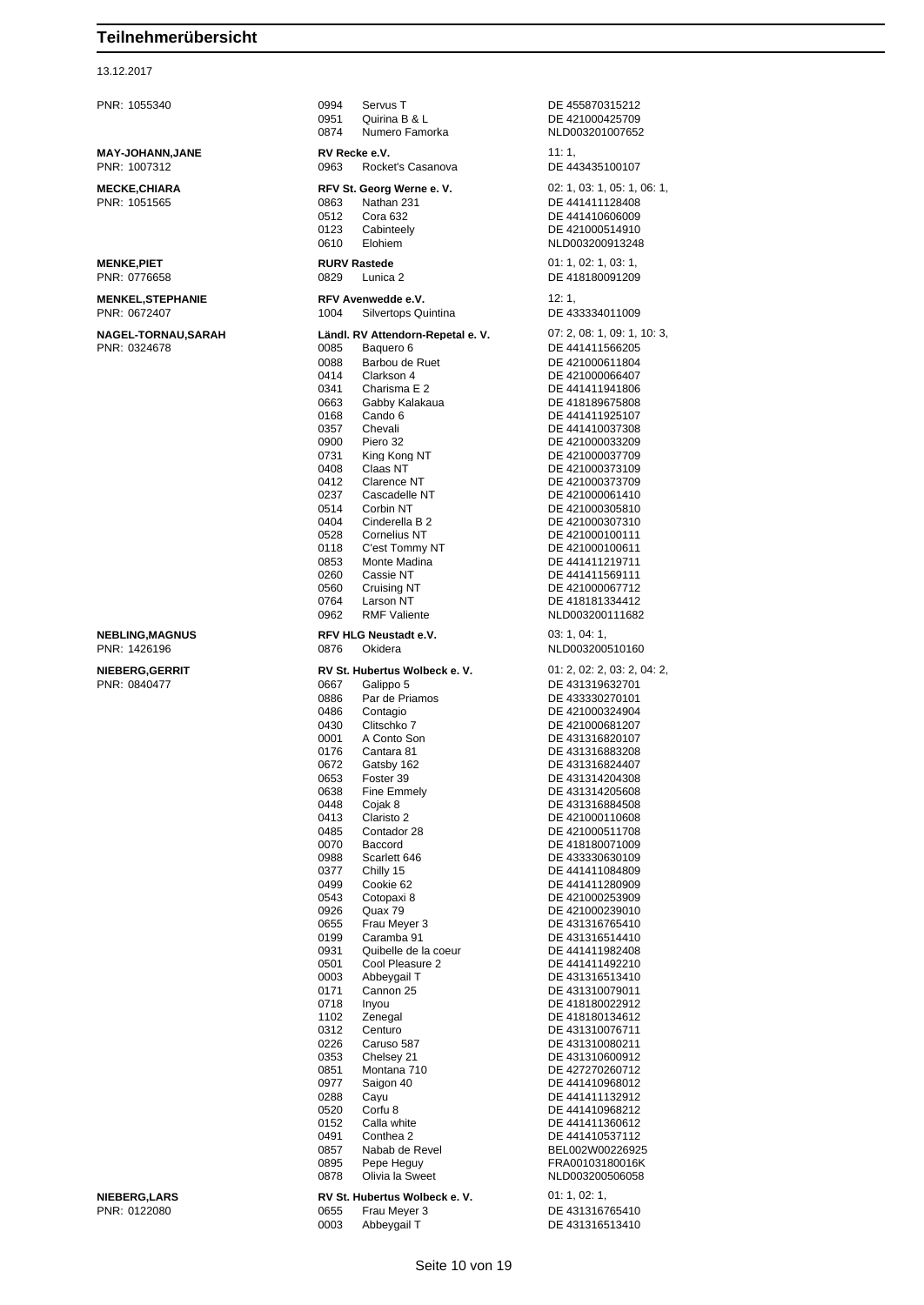#### 13.12.2017

PNR: 1055340 0994 Servus T DE 455870315212 0951 Ouirina B & L DE 421000425709 0874 Numero Famorka NLD003201007652 **MAY-JOHANN,JANE RV Recke e.V. 11: 1,** PNR: 1007312 0963 Rocket's Casanova DE 443435100107 **MECKE,CHIARA RFV St. Georg Werne e. V.** 02: 1, 03: 1, 05: 1, 06: 1, PNR: 1051565 0863 Nathan 231 DE 441411128408 0512 Cora 632 DE 441410606009 0123 Cabinteely DE 421000514910<br>0610 Flohiem NI D003200913248 0610 Elohiem NLD003200913248 **MENKE,PIET RURV Rastede** 01: 1, 02: 1, 03: 1, PNR: 0776658 0829 Lunica 2 DE 418180091209 **MENKEL,STEPHANIE RFV Avenwedde e.V.** 12: 1, 12: 1,<br>PNR: 0672407 **PNR: 0672407** 1009 1004 Silvertops Quintina Silvertops Quintina **NAGEL-TORNAU,SARAH Ländl. RV Attendorn-Repetal e. V.** 07: 2, 08: 1, 09: 1, 10: 3, PNR: 0324678 0085 Baquero 6 DE 441411566205 0088 Barbou de Ruet DE 421000611804 0414 Clarkson 4 DE 421000066407 0341 Charisma F 2 DE 441411941806 0663 Gabby Kalakaua DE 418189675808 0168 Cando 6 DE 441411925107 0357 Chevali DE 441410037308 0900 Piero 32 DE 421000033209 0731 King Kong NT DE 421000037709 0408 Claas NT DE 421000373109 0412 Clarence NT DE 421000373709 0237 Cascadelle NT DE 421000061410 DE 421000305810 0404 Cinderella B 2 DE 421000307310 0528 Cornelius NT DE 421000100111 0118 C'est Tommy NT DE 421000100611 0853 Monte Madina **DE 441411219711**<br>0260 Cassie NT DE 441411569111 DE 441411569111 0560 Cruising NT DE 421000067712<br>0764 Larson NT DE 418181334412 0764 Larson NT DE 418181334412 NLD003200111682 **NEBLING,MAGNUS RFV HLG Neustadt e.V.** 03: 1, 04: 1, 04: 1, 04: 1, 04: 1, 04: 1, 05: 1, 04: 1, 05: 1, 04: 1, 05: 1, 04: 1, 05: 1, 04: 1, 05: 20: 0876 Okidera NLD003200510160 **NIEBERG,GERRIT RV St. Hubertus Wolbeck e. V.** 01: 2, 02: 2, 03: 2, 04: 2, PNR: 0840477 0667 Galippo 5 DE 431319632701 0886 Par de Priamos DE 433330270101 0486 Contagio DE 421000324904 DE 421000681207 0001 A Conto Son DE 431316820107<br>0176 Cantara 81 DE 431316883208 0176 Cantara 81 DE 431316883208<br>0672 Gatsby 162 DE 431316824407 DE 431316824407 0653 Foster 39 DE 431314204308 0638 Fine Emmely DE 431314205608 0448 Cojak 8 DE 431316884508 0413 Claristo 2 DE 421000110608 0485 Contador 28 DE 421000511708 0070 Baccord DE 418180071009<br>0988 Scarlett 646 DE 433330630109 0988 Scarlett 646 DE 433330630109 0377 Chilly 15 DE 441411084809<br>0499 Cookie 62 DE 441411280909 0499 Cookie 62<br>
0543 Cotopaxi 8 DE 421000253909 0543 Cotopaxi 8 DE 421000253909<br>0926 Quax 79 DE 421000239010 DE 421000239010 0655 Frau Meyer 3 DE 431316765410 0199 Caramba 91 DE 431316514410 0931 Quibelle de la coeur DE 441411982408 0501 Cool Pleasure 2 DE 441411492210 DE 431316513410 0171 Cannon 25 DE 431310079011 0718 Inyou DE 418180022912 1102 Zenegal DE 418180134612<br>
0312 Centuro DE 431310076711 0312 Centuro DE 431310076711<br>0226 Caruso 587 DE 431310080211 0226 Caruso 587 DE 431310080211<br>0353 Chelsey 21 DE 431310600912 0353 Chelsey 21 DE 431310600912<br>0851 Montana 710 DE 427270260712 0851 Montana 710 DE 427270260712 0977 Saigon 40 DE 441410968012<br>0288 Cayu 1028 DE 441411132912 0288 Cayu DE 441411132912<br>0520 Corfu 8 DE 441410968212 0520 Corfu 8 DE 441410968212<br>0152 Calla white DE 441411360612 DE 441411360612 0491 Conthea 2 Conthea 2 DE 441410537112<br>0857 Nabab de Revel CONDITED BELOO2W0022692 0857 Nabab de Revel BEL002W00226925<br>0895 Pepe Hequy Charles BRA00103180016K Pepe Heguy FRA00103180016K<br>Olivia la Sweet MLD003200506058 0878 Olivia la Sweet NLD003200506058 **NIEBERG,LARS RV St. Hubertus Wolbeck e. V.** 01: 1, 02: 1, 02: 1, 02: 1, 02: 1, 02: 1, 02: 1, 02: 1, 02: 1, 02: 1, 02: 1, 02: 1, 02: 0, 0655 **Frau Meyer 3** DE 431316765410 0003 Abbeygail T DE 431316513410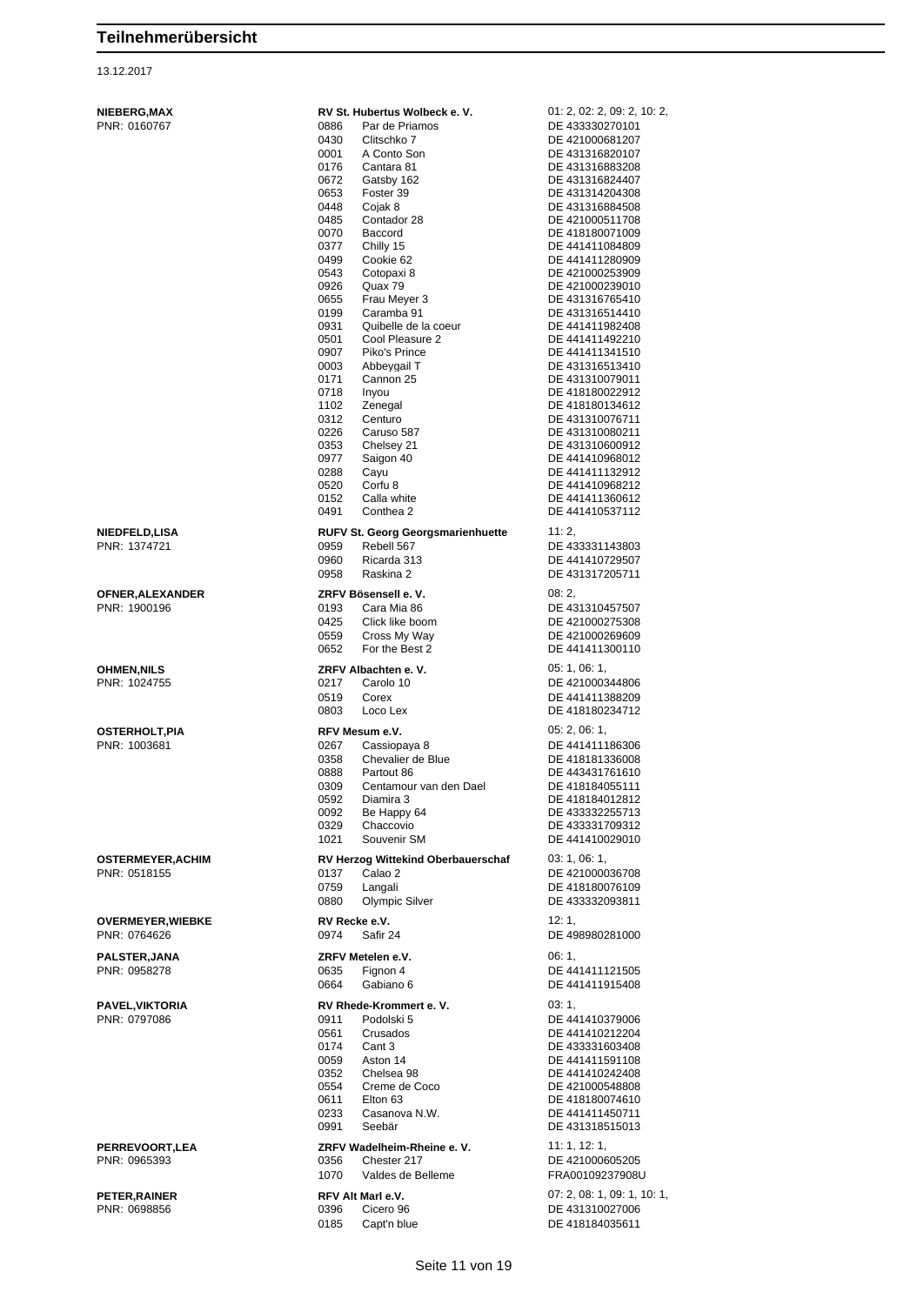| <b>NIEBERG, MAX</b><br>PNR: 0160767      | RV St. Hubertus Wolbeck e. V.<br>0886<br>Par de Priamos<br>0430<br>Clitschko 7<br>A Conto Son<br>0001<br>0176<br>Cantara 81<br>0672<br>Gatsby 162<br>0653<br>Foster 39<br>0448<br>Cojak 8<br>0485<br>Contador 28<br>0070<br>Baccord<br>0377<br>Chilly 15<br>0499<br>Cookie 62<br>0543<br>Cotopaxi 8<br>0926<br>Quax 79<br>0655<br>Frau Meyer 3<br>0199<br>Caramba 91<br>0931<br>Quibelle de la coeur<br>0501<br>Cool Pleasure 2<br>0907<br>Piko's Prince<br>0003<br>Abbeygail T<br>0171<br>Cannon 25<br>0718<br>Inyou<br>1102<br>Zenegal<br>0312<br>Centuro<br>0226<br>Caruso 587<br>0353<br>Chelsey 21<br>0977<br>Saigon 40<br>0288<br>Cayu<br>0520<br>Corfu <sub>8</sub><br>0152<br>Calla white<br>0491 | 01: 2, 02: 2, 09: 2, 10: 2,<br>DE 433330270101<br>DE 421000681207<br>DE 431316820107<br>DE 431316883208<br>DE 431316824407<br>DE 431314204308<br>DE 431316884508<br>DE 421000511708<br>DE 418180071009<br>DE 441411084809<br>DE 441411280909<br>DE 421000253909<br>DE 421000239010<br>DE 431316765410<br>DE 431316514410<br>DE 441411982408<br>DE 441411492210<br>DE 441411341510<br>DE 431316513410<br>DE 431310079011<br>DE 418180022912<br>DE 418180134612<br>DE 431310076711<br>DE 431310080211<br>DE 431310600912<br>DE 441410968012<br>DE 441411132912<br>DE 441410968212<br>DE 441411360612<br>DE 441410537112 |
|------------------------------------------|-----------------------------------------------------------------------------------------------------------------------------------------------------------------------------------------------------------------------------------------------------------------------------------------------------------------------------------------------------------------------------------------------------------------------------------------------------------------------------------------------------------------------------------------------------------------------------------------------------------------------------------------------------------------------------------------------------------|-----------------------------------------------------------------------------------------------------------------------------------------------------------------------------------------------------------------------------------------------------------------------------------------------------------------------------------------------------------------------------------------------------------------------------------------------------------------------------------------------------------------------------------------------------------------------------------------------------------------------|
|                                          | Conthea 2                                                                                                                                                                                                                                                                                                                                                                                                                                                                                                                                                                                                                                                                                                 |                                                                                                                                                                                                                                                                                                                                                                                                                                                                                                                                                                                                                       |
| <b>NIEDFELD,LISA</b><br>PNR: 1374721     | <b>RUFV St. Georg Georgsmarienhuette</b><br>0959<br>Rebell 567<br>0960<br>Ricarda 313<br>0958<br>Raskina 2                                                                                                                                                                                                                                                                                                                                                                                                                                                                                                                                                                                                | 11:2,<br>DE 433331143803<br>DE 441410729507<br>DE 431317205711                                                                                                                                                                                                                                                                                                                                                                                                                                                                                                                                                        |
| OFNER, ALEXANDER<br>PNR: 1900196         | ZRFV Bösensell e. V.<br>0193<br>Cara Mia 86<br>0425<br>Click like boom<br>0559<br>Cross My Way<br>0652<br>For the Best 2                                                                                                                                                                                                                                                                                                                                                                                                                                                                                                                                                                                  | 08:2,<br>DE 431310457507<br>DE 421000275308<br>DE 421000269609<br>DE 441411300110                                                                                                                                                                                                                                                                                                                                                                                                                                                                                                                                     |
| <b>OHMEN,NILS</b><br>PNR: 1024755        | ZRFV Albachten e.V.<br>0217<br>Carolo 10<br>0519<br>Corex<br>0803<br>Loco Lex                                                                                                                                                                                                                                                                                                                                                                                                                                                                                                                                                                                                                             | 05: 1, 06: 1,<br>DE 421000344806<br>DE 441411388209<br>DE 418180234712                                                                                                                                                                                                                                                                                                                                                                                                                                                                                                                                                |
| <b>OSTERHOLT, PIA</b><br>PNR: 1003681    | RFV Mesum e.V.<br>0267<br>Cassiopaya 8<br>0358<br>Chevalier de Blue<br>0888<br>Partout 86<br>0309<br>Centamour van den Dael<br>0592<br>Diamira 3<br>0092<br>Be Happy 64<br>0329<br>Chaccovio<br>1021<br>Souvenir SM                                                                                                                                                                                                                                                                                                                                                                                                                                                                                       | 05: 2, 06: 1,<br>DE 441411186306<br>DE 418181336008<br>DE 443431761610<br>DE 418184055111<br>DE 418184012812<br>DE 433332255713<br>DE 433331709312<br>DE 441410029010                                                                                                                                                                                                                                                                                                                                                                                                                                                 |
| <b>OSTERMEYER, ACHIM</b><br>PNR: 0518155 | RV Herzog Wittekind Oberbauerschaf<br>0137<br>Calao 2<br>0759<br>Langali<br>0880<br><b>Olympic Silver</b>                                                                                                                                                                                                                                                                                                                                                                                                                                                                                                                                                                                                 | 03: 1, 06: 1,<br>DE 421000036708<br>DE 418180076109<br>DE 433332093811                                                                                                                                                                                                                                                                                                                                                                                                                                                                                                                                                |
| <b>OVERMEYER, WIEBKE</b><br>PNR: 0764626 | RV Recke e.V.<br>0974<br>Safir 24                                                                                                                                                                                                                                                                                                                                                                                                                                                                                                                                                                                                                                                                         | 12:1<br>DE 498980281000                                                                                                                                                                                                                                                                                                                                                                                                                                                                                                                                                                                               |
| <b>PALSTER, JANA</b><br>PNR: 0958278     | ZRFV Metelen e.V.<br>0635<br>Fignon 4<br>0664<br>Gabiano 6                                                                                                                                                                                                                                                                                                                                                                                                                                                                                                                                                                                                                                                | 06:1<br>DE 441411121505<br>DE 441411915408                                                                                                                                                                                                                                                                                                                                                                                                                                                                                                                                                                            |
| <b>PAVEL, VIKTORIA</b><br>PNR: 0797086   | RV Rhede-Krommert e.V.<br>0911<br>Podolski 5<br>0561<br>Crusados<br>0174<br>Cant 3<br>0059<br>Aston 14<br>0352<br>Chelsea 98<br>0554<br>Creme de Coco<br>0611<br>Elton 63<br>0233<br>Casanova N.W.<br>0991<br>Seebär                                                                                                                                                                                                                                                                                                                                                                                                                                                                                      | 03:1,<br>DE 441410379006<br>DE 441410212204<br>DE 433331603408<br>DE 441411591108<br>DE 441410242408<br>DE 421000548808<br>DE 418180074610<br>DE 441411450711<br>DE 431318515013                                                                                                                                                                                                                                                                                                                                                                                                                                      |
| PERREVOORT,LEA<br>PNR: 0965393           | ZRFV Wadelheim-Rheine e.V.<br>Chester 217<br>0356<br>1070<br>Valdes de Belleme                                                                                                                                                                                                                                                                                                                                                                                                                                                                                                                                                                                                                            | 11:1, 12:1,<br>DE 421000605205<br>FRA00109237908U                                                                                                                                                                                                                                                                                                                                                                                                                                                                                                                                                                     |
| PETER, RAINER<br>PNR: 0698856            | <b>RFV Alt Marl e.V.</b><br>0396<br>Cicero 96<br>0185<br>Capt'n blue                                                                                                                                                                                                                                                                                                                                                                                                                                                                                                                                                                                                                                      | 07: 2, 08: 1, 09: 1, 10: 1,<br>DE 431310027006<br>DE 418184035611                                                                                                                                                                                                                                                                                                                                                                                                                                                                                                                                                     |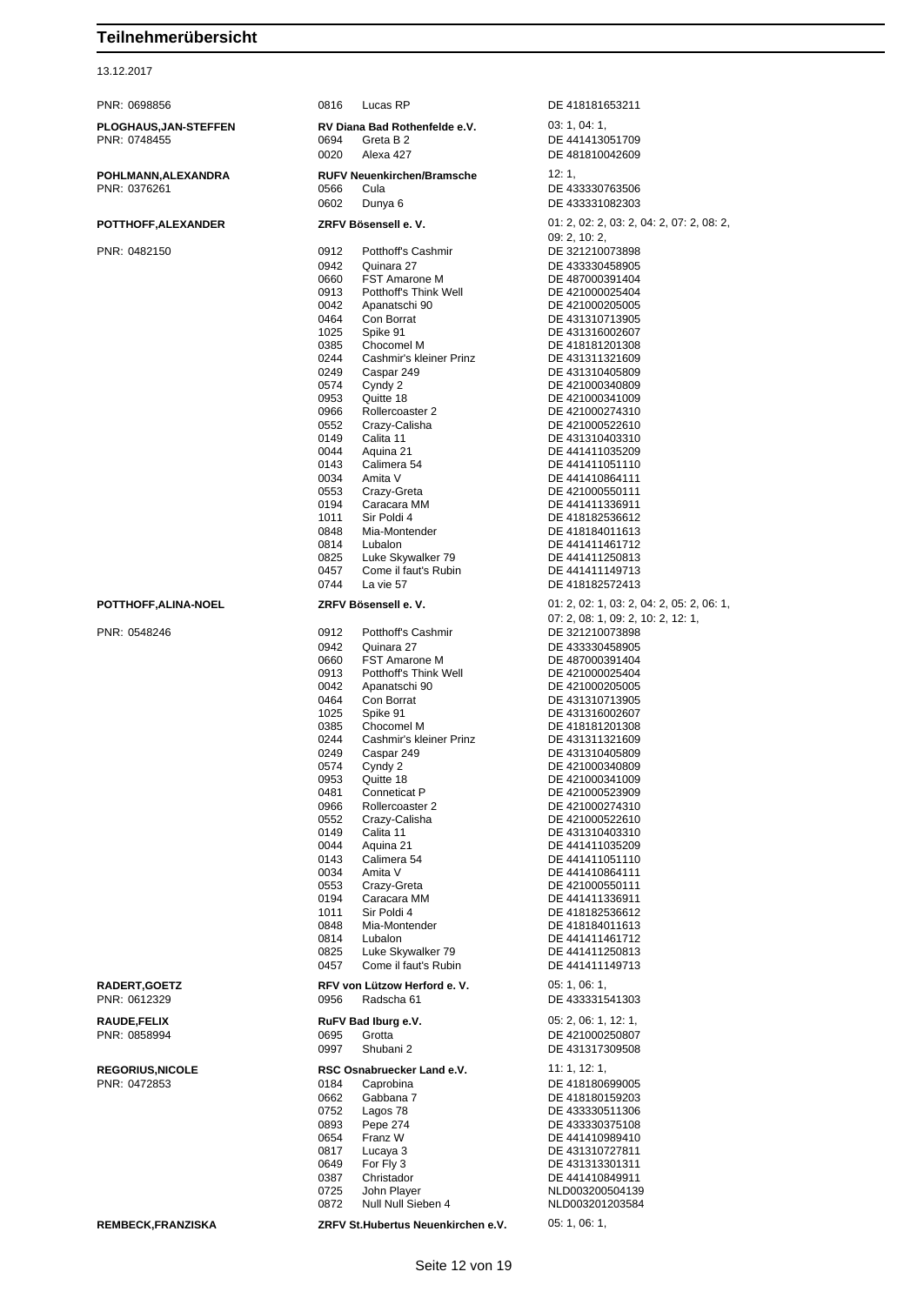| PNR: 0698856           | 0816         | Lucas RP                              | DE 418181653211                           |
|------------------------|--------------|---------------------------------------|-------------------------------------------|
| PLOGHAUS,JAN-STEFFEN   |              | RV Diana Bad Rothenfelde e.V.         | 03: 1, 04: 1,                             |
| PNR: 0748455           | 0694         | Greta B 2                             | DE 441413051709                           |
|                        | 0020         | Alexa 427                             | DE 481810042609                           |
| POHLMANN,ALEXANDRA     |              | <b>RUFV Neuenkirchen/Bramsche</b>     | 12:1,                                     |
| PNR: 0376261           | 0566         | Cula                                  | DE 433330763506                           |
|                        | 0602         | Dunya 6                               | DE 433331082303                           |
| POTTHOFF,ALEXANDER     |              | ZRFV Bösensell e. V.                  | 01: 2, 02: 2, 03: 2, 04: 2, 07: 2, 08: 2, |
|                        |              |                                       | 09: 2, 10: 2,                             |
| PNR: 0482150           | 0912<br>0942 | Potthoff's Cashmir<br>Quinara 27      | DE 321210073898<br>DE 433330458905        |
|                        | 0660         | <b>FST Amarone M</b>                  | DE 487000391404                           |
|                        | 0913         | Potthoff's Think Well                 | DE 421000025404                           |
|                        | 0042         | Apanatschi 90                         | DE 421000205005                           |
|                        | 0464         | Con Borrat                            | DE 431310713905                           |
|                        | 1025<br>0385 | Spike 91<br>Chocomel M                | DE 431316002607<br>DE 418181201308        |
|                        | 0244         | Cashmir's kleiner Prinz               | DE 431311321609                           |
|                        | 0249         | Caspar 249                            | DE 431310405809                           |
|                        | 0574         | Cyndy 2                               | DE 421000340809                           |
|                        | 0953<br>0966 | Quitte 18<br>Rollercoaster 2          | DE 421000341009<br>DE 421000274310        |
|                        | 0552         | Crazy-Calisha                         | DE 421000522610                           |
|                        | 0149         | Calita 11                             | DE 431310403310                           |
|                        | 0044         | Aguina 21                             | DE 441411035209                           |
|                        | 0143<br>0034 | Calimera 54<br>Amita V                | DE 441411051110<br>DE 441410864111        |
|                        | 0553         | Crazy-Greta                           | DE 421000550111                           |
|                        | 0194         | Caracara MM                           | DE 441411336911                           |
|                        | 1011         | Sir Poldi 4                           | DE 418182536612                           |
|                        | 0848         | Mia-Montender                         | DE 418184011613                           |
|                        | 0814<br>0825 | Lubalon<br>Luke Skywalker 79          | DE 441411461712<br>DE 441411250813        |
|                        | 0457         | Come il faut's Rubin                  | DE 441411149713                           |
|                        | 0744         | La vie 57                             | DE 418182572413                           |
| POTTHOFF,ALINA-NOEL    |              | ZRFV Bösensell e. V.                  | 01: 2, 02: 1, 03: 2, 04: 2, 05: 2, 06: 1, |
|                        |              |                                       | 07: 2, 08: 1, 09: 2, 10: 2, 12: 1,        |
| PNR: 0548246           | 0912         | Potthoff's Cashmir                    | DE 321210073898                           |
|                        | 0942<br>0660 | Quinara 27<br><b>FST Amarone M</b>    | DE 433330458905<br>DE 487000391404        |
|                        | 0913         | Potthoff's Think Well                 | DE 421000025404                           |
|                        | 0042         | Apanatschi 90                         | DE 421000205005                           |
|                        | 0464         | Con Borrat                            | DE 431310713905                           |
|                        | 1025         | Spike 91                              | DE 431316002607<br>DE 418181201308        |
|                        | 0385<br>0244 | Chocomel M<br>Cashmir's kleiner Prinz | DE 431311321609                           |
|                        | 0249         | Caspar 249                            | DE 431310405809                           |
|                        | 0574         | Cyndy 2                               | DE 421000340809                           |
|                        | 0953         | Quitte 18                             | DE 421000341009                           |
|                        | 0481<br>0966 | Conneticat P<br>Rollercoaster 2       | DE 421000523909<br>DE 421000274310        |
|                        | 0552         | Crazy-Calisha                         | DE 421000522610                           |
|                        | 0149         | Calita 11                             | DE 431310403310                           |
|                        | 0044         | Aguina 21                             | DE 441411035209                           |
|                        | 0143<br>0034 | Calimera 54<br>Amita V                | DE 441411051110<br>DE 441410864111        |
|                        | 0553         | Crazy-Greta                           | DE 421000550111                           |
|                        | 0194         | Caracara MM                           | DE 441411336911                           |
|                        | 1011         | Sir Poldi 4                           | DE 418182536612                           |
|                        | 0848<br>0814 | Mia-Montender<br>Lubalon              | DE 418184011613<br>DE 441411461712        |
|                        | 0825         | Luke Skywalker 79                     | DE 441411250813                           |
|                        | 0457         | Come il faut's Rubin                  | DE 441411149713                           |
| <b>RADERT,GOETZ</b>    |              | RFV von Lützow Herford e. V.          | 05: 1, 06: 1,                             |
| PNR: 0612329           | 0956         | Radscha 61                            | DE 433331541303                           |
| RAUDE,FELIX            |              | RuFV Bad Iburg e.V.                   | 05: 2, 06: 1, 12: 1,                      |
| PNR: 0858994           | 0695         | Grotta                                | DE 421000250807                           |
|                        | 0997         | Shubani 2                             | DE 431317309508                           |
| <b>REGORIUS,NICOLE</b> |              | RSC Osnabruecker Land e.V.            | 11: 1, 12: 1,                             |
| PNR: 0472853           | 0184         | Caprobina                             | DE 418180699005                           |
|                        | 0662         | Gabbana 7                             | DE 418180159203                           |
|                        | 0752<br>0893 | Lagos 78<br>Pepe 274                  | DE 433330511306<br>DE 433330375108        |
|                        | 0654         | Franz W                               | DE 441410989410                           |
|                        | 0817         | Lucaya 3                              | DE 431310727811                           |
|                        | 0649         | For Fly 3                             | DE 431313301311                           |
|                        | 0387         | Christador                            | DE 441410849911                           |
|                        | 0725<br>0872 | John Player<br>Null Null Sieben 4     | NLD003200504139<br>NLD003201203584        |
|                        |              |                                       | 05: 1, 06: 1,                             |
| REMBECK,FRANZISKA      |              | ZRFV St.Hubertus Neuenkirchen e.V.    |                                           |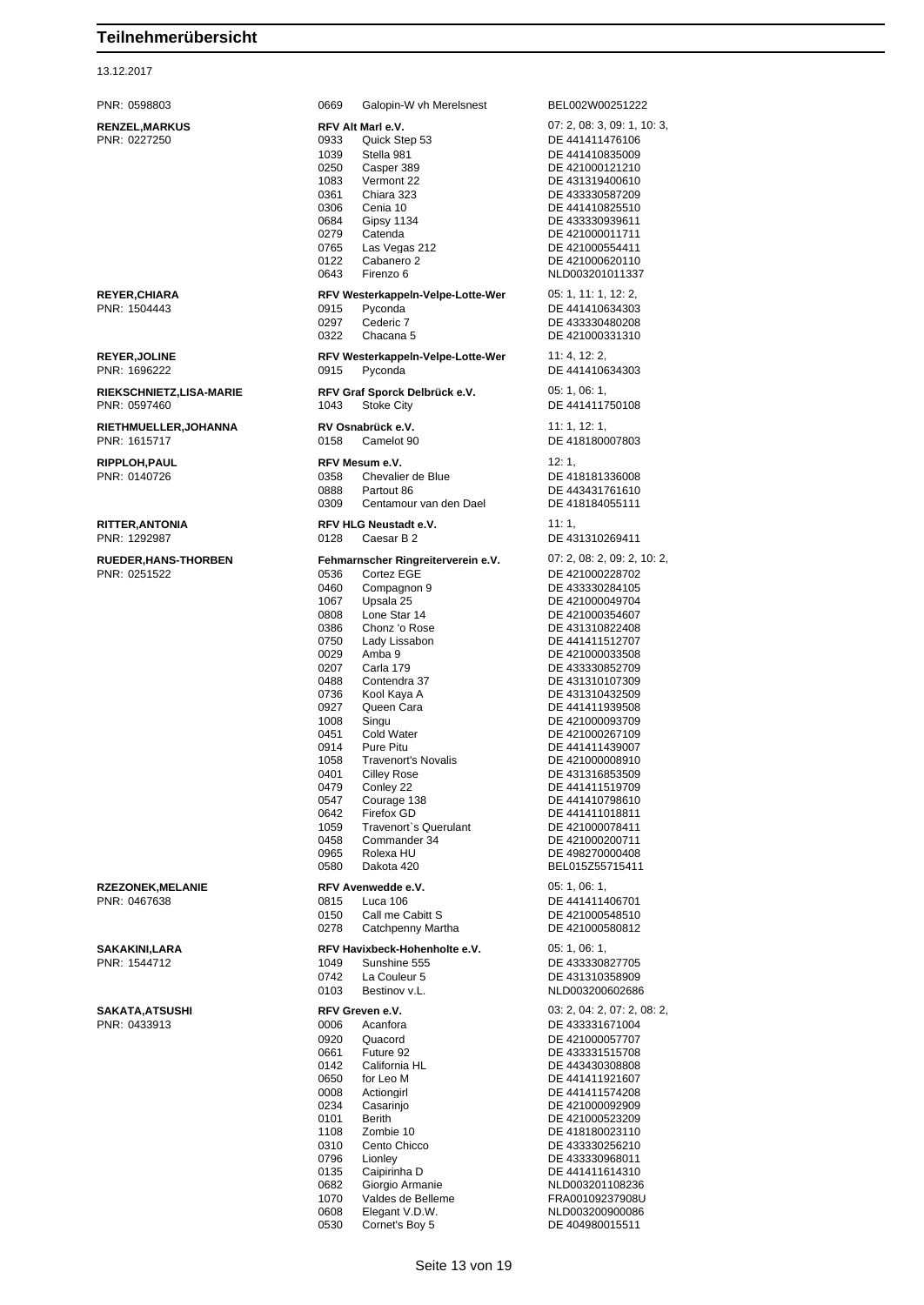### 13.12.2017

| PNR: 0598803                                | Galopin-W vh Merelsnest<br>0669                                                                                                                                                                                                                                                                                                                                                                                                                                                                                                                                                                         | BEL002W00251222                                                                                                                                                                                                                                                                                                                                                                                                                                                              |
|---------------------------------------------|---------------------------------------------------------------------------------------------------------------------------------------------------------------------------------------------------------------------------------------------------------------------------------------------------------------------------------------------------------------------------------------------------------------------------------------------------------------------------------------------------------------------------------------------------------------------------------------------------------|------------------------------------------------------------------------------------------------------------------------------------------------------------------------------------------------------------------------------------------------------------------------------------------------------------------------------------------------------------------------------------------------------------------------------------------------------------------------------|
| <b>RENZEL, MARKUS</b><br>PNR: 0227250       | RFV Alt Marl e.V.<br>0933<br>Quick Step 53<br>1039<br>Stella 981<br>Casper 389<br>0250<br>1083<br>Vermont 22<br>0361<br>Chiara 323<br>Cenia 10<br>0306<br>0684<br><b>Gipsy 1134</b><br>0279<br>Catenda<br>Las Vegas 212<br>0765<br>0122<br>Cabanero 2<br>0643<br>Firenzo 6                                                                                                                                                                                                                                                                                                                              | 07: 2, 08: 3, 09: 1, 10<br>DE 441411476106<br>DE 441410835009<br>DE 421000121210<br>DE 431319400610<br>DE 433330587209<br>DE 441410825510<br>DE 433330939611<br>DE 421000011711<br>DE 421000554411<br>DE 421000620110<br>NLD003201011337                                                                                                                                                                                                                                     |
| <b>REYER, CHIARA</b><br>PNR: 1504443        | RFV Westerkappeln-Velpe-Lotte-Wer<br>Pyconda<br>0915<br>0297<br>Cederic 7<br>Chacana 5<br>0322                                                                                                                                                                                                                                                                                                                                                                                                                                                                                                          | 05: 1, 11: 1, 12: 2,<br>DE 441410634303<br>DE 433330480208<br>DE 421000331310                                                                                                                                                                                                                                                                                                                                                                                                |
| <b>REYER, JOLINE</b><br>PNR: 1696222        | RFV Westerkappeln-Velpe-Lotte-Wer<br>Pyconda<br>0915                                                                                                                                                                                                                                                                                                                                                                                                                                                                                                                                                    | 11:4, 12:2,<br>DE 441410634303                                                                                                                                                                                                                                                                                                                                                                                                                                               |
| RIEKSCHNIETZ,LISA-MARIE<br>PNR: 0597460     | RFV Graf Sporck Delbrück e.V.<br><b>Stoke City</b><br>1043                                                                                                                                                                                                                                                                                                                                                                                                                                                                                                                                              | 05: 1, 06: 1,<br>DE 441411750108                                                                                                                                                                                                                                                                                                                                                                                                                                             |
| RIETHMUELLER, JOHANNA<br>PNR: 1615717       | RV Osnabrück e.V.<br>0158<br>Camelot 90                                                                                                                                                                                                                                                                                                                                                                                                                                                                                                                                                                 | 11:1, 12:1,<br>DE 418180007803                                                                                                                                                                                                                                                                                                                                                                                                                                               |
| RIPPLOH, PAUL<br>PNR: 0140726               | RFV Mesum e.V.<br>0358<br>Chevalier de Blue<br>0888<br>Partout 86<br>0309<br>Centamour van den Dael                                                                                                                                                                                                                                                                                                                                                                                                                                                                                                     | 12:1,<br>DE 418181336008<br>DE 443431761610<br>DE 418184055111                                                                                                                                                                                                                                                                                                                                                                                                               |
| RITTER, ANTONIA<br>PNR: 1292987             | <b>RFV HLG Neustadt e.V.</b><br>0128<br>Caesar B 2                                                                                                                                                                                                                                                                                                                                                                                                                                                                                                                                                      | 11:1,<br>DE 431310269411                                                                                                                                                                                                                                                                                                                                                                                                                                                     |
| <b>RUEDER, HANS-THORBEN</b><br>PNR: 0251522 | Fehmarnscher Ringreiterverein e.V.<br>Cortez EGE<br>0536<br>0460<br>Compagnon 9<br>Upsala 25<br>1067<br>Lone Star 14<br>0808<br>0386<br>Chonz 'o Rose<br>0750<br>Lady Lissabon<br>0029<br>Amba 9<br>0207<br>Carla 179<br>Contendra 37<br>0488<br>0736<br>Kool Kaya A<br>Queen Cara<br>0927<br>1008<br>Singu<br><b>Cold Water</b><br>0451<br>Pure Pitu<br>0914<br><b>Travenort's Novalis</b><br>1058<br>0401<br><b>Cilley Rose</b><br>0479<br>Conley 22<br>0547<br>Courage 138<br>0642<br>Firefox GD<br>Travenort's Querulant<br>1059<br>0458<br>Commander 34<br>0965<br>Rolexa HU<br>0580<br>Dakota 420 | 07: 2, 08: 2, 09: 2, 10<br>DE 421000228702<br>DE 433330284105<br>DE 421000049704<br>DE 421000354607<br>DE 431310822408<br>DE 441411512707<br>DE 421000033508<br>DE 433330852709<br>DE 431310107309<br>DE 431310432509<br>DE 441411939508<br>DE 421000093709<br>DE 421000267109<br>DE 441411439007<br>DE 421000008910<br>DE 431316853509<br>DE 441411519709<br>DE 441410798610<br>DE 441411018811<br>DE 421000078411<br>DE 421000200711<br>DE 498270000408<br>BEL015Z55715411 |
| <b>RZEZONEK, MELANIE</b><br>PNR: 0467638    | RFV Avenwedde e.V.<br>Luca 106<br>0815<br>Call me Cabitt S<br>0150<br>0278<br>Catchpenny Martha                                                                                                                                                                                                                                                                                                                                                                                                                                                                                                         | 05: 1, 06: 1,<br>DE 441411406701<br>DE 421000548510<br>DE 421000580812                                                                                                                                                                                                                                                                                                                                                                                                       |
| SAKAKINI,LARA<br>PNR: 1544712               | RFV Havixbeck-Hohenholte e.V.<br>1049<br>Sunshine 555<br>0742<br>La Couleur 5<br>0103<br>Bestinov v.L.                                                                                                                                                                                                                                                                                                                                                                                                                                                                                                  | 05: 1, 06: 1,<br>DE 433330827705<br>DE 431310358909<br>NLD003200602686                                                                                                                                                                                                                                                                                                                                                                                                       |
| SAKATA, ATSUSHI<br>PNR: 0433913             | RFV Greven e.V.<br>Acanfora<br>0006<br>0920<br>Quacord<br>Future 92<br>0661<br>California HL<br>0142<br>0650<br>for Leo M<br>Actiongirl<br>0008<br>0234<br>Casarinjo<br><b>Berith</b><br>0101<br>Zombie 10<br>1108<br>Cento Chicco<br>0310<br>0796<br>Lionley<br>0135<br>Caipirinha D<br>0682<br>Giorgio Armanie<br>Valdes de Belleme<br>1070<br>0608<br>Elegant V.D.W.                                                                                                                                                                                                                                 | 03: 2, 04: 2, 07: 2, 08<br>DE 433331671004<br>DE 421000057707<br>DE 433331515708<br>DE 443430308808<br>DE 441411921607<br>DE 441411574208<br>DE 421000092909<br>DE 421000523209<br>DE 418180023110<br>DE 433330256210<br>DE 433330968011<br>DE 441411614310<br>NLD003201108236<br>FRA00109237908U<br>NLD003200900086                                                                                                                                                         |

| <b>RENZEL,MARKUS</b><br>PNR: 0227250    | RFV Alt Marl e.V.<br>0933<br>Quick Step 53<br>1039<br>Stella 981<br>0250<br>Casper 389<br>1083<br>Vermont 22<br>0361<br>Chiara 323<br>0306<br>Cenia 10<br>0684<br>Gipsy 1134<br>0279<br>Catenda<br>0765<br>Las Vegas 212<br>0122<br>Cabanero 2<br>0643<br>Firenzo 6                                                                                                                                                                                                                                                                                                                              | 07: 2, 08: 3, 09: 1, 10: 3,<br>DE 441411476106<br>DE 441410835009<br>DE 421000121210<br>DE 431319400610<br>DE 433330587209<br>DE 441410825510<br>DE 433330939611<br>DE 421000011711<br>DE 421000554411<br>DE 421000620110<br>NLD003201011337                                                                                                                                                                                                                                     |
|-----------------------------------------|--------------------------------------------------------------------------------------------------------------------------------------------------------------------------------------------------------------------------------------------------------------------------------------------------------------------------------------------------------------------------------------------------------------------------------------------------------------------------------------------------------------------------------------------------------------------------------------------------|----------------------------------------------------------------------------------------------------------------------------------------------------------------------------------------------------------------------------------------------------------------------------------------------------------------------------------------------------------------------------------------------------------------------------------------------------------------------------------|
| REYER,CHIARA<br>PNR: 1504443            | RFV Westerkappeln-Velpe-Lotte-Wer<br>0915<br>Pyconda<br>0297<br>Cederic 7<br>0322<br>Chacana 5                                                                                                                                                                                                                                                                                                                                                                                                                                                                                                   | 05: 1, 11: 1, 12: 2,<br>DE 441410634303<br>DE 433330480208<br>DE 421000331310                                                                                                                                                                                                                                                                                                                                                                                                    |
| <b>REYER,JOLINE</b><br>PNR: 1696222     | RFV Westerkappeln-Velpe-Lotte-Wer<br>0915<br>Pyconda                                                                                                                                                                                                                                                                                                                                                                                                                                                                                                                                             | 11: 4, 12: 2,<br>DE 441410634303                                                                                                                                                                                                                                                                                                                                                                                                                                                 |
| RIEKSCHNIETZ,LISA-MARIE<br>PNR: 0597460 | RFV Graf Sporck Delbrück e.V.<br>1043<br>Stoke City                                                                                                                                                                                                                                                                                                                                                                                                                                                                                                                                              | 05: 1, 06: 1,<br>DE 441411750108                                                                                                                                                                                                                                                                                                                                                                                                                                                 |
| RIETHMUELLER,JOHANNA<br>PNR: 1615717    | RV Osnabrück e.V.<br>0158<br>Camelot 90                                                                                                                                                                                                                                                                                                                                                                                                                                                                                                                                                          | 11: 1, 12: 1,<br>DE 418180007803                                                                                                                                                                                                                                                                                                                                                                                                                                                 |
| RIPPLOH,PAUL<br>PNR: 0140726            | RFV Mesum e.V.<br>Chevalier de Blue<br>0358<br>0888<br>Partout 86<br>0309<br>Centamour van den Dael                                                                                                                                                                                                                                                                                                                                                                                                                                                                                              | 12: 1,<br>DE 418181336008<br>DE 443431761610<br>DE 418184055111                                                                                                                                                                                                                                                                                                                                                                                                                  |
| RITTER,ANTONIA<br>PNR: 1292987          | RFV HLG Neustadt e.V.<br>0128<br>Caesar B 2                                                                                                                                                                                                                                                                                                                                                                                                                                                                                                                                                      | 11: 1,<br>DE 431310269411                                                                                                                                                                                                                                                                                                                                                                                                                                                        |
| RUEDER,HANS-THORBEN<br>PNR: 0251522     | Fehmarnscher Ringreiterverein e.V.<br>0536<br>Cortez EGE<br>0460<br>Compagnon 9<br>1067<br>Upsala 25<br>0808<br>Lone Star 14<br>0386<br>Chonz 'o Rose<br>0750<br>Lady Lissabon<br>0029<br>Amba 9<br>0207<br>Carla 179<br>0488<br>Contendra 37<br>0736<br>Kool Kaya A<br>0927<br>Queen Cara<br>1008<br>Singu<br>0451<br><b>Cold Water</b><br>0914<br>Pure Pitu<br>1058<br><b>Travenort's Novalis</b><br>0401<br>Cilley Rose<br>0479<br>Conley 22<br>0547<br>Courage 138<br>0642<br>Firefox GD<br>1059<br>Travenort's Querulant<br>0458<br>Commander 34<br>0965<br>Rolexa HU<br>0580<br>Dakota 420 | 07: 2, 08: 2, 09: 2, 10: 2,<br>DE 421000228702<br>DE 433330284105<br>DE 421000049704<br>DE 421000354607<br>DE 431310822408<br>DE 441411512707<br>DE 421000033508<br>DE 433330852709<br>DE 431310107309<br>DE 431310432509<br>DE 441411939508<br>DE 421000093709<br>DE 421000267109<br>DE 441411439007<br>DE 421000008910<br>DE 431316853509<br>DE 441411519709<br>DE 441410798610<br>DE 441411018811<br>DE 421000078411<br>DE 421000200711<br>DE 498270000408<br>BEL015Z55715411 |
| <b>RZEZONEK,MELANIE</b><br>PNR: 0467638 | RFV Avenwedde e.V.<br>0815<br>Luca 106<br>0150<br>Call me Cabitt S<br>0278<br>Catchpenny Martha                                                                                                                                                                                                                                                                                                                                                                                                                                                                                                  | 05: 1, 06: 1,<br>DE 441411406701<br>DE 421000548510<br>DE 421000580812                                                                                                                                                                                                                                                                                                                                                                                                           |
| SAKAKINI,LARA<br>PNR: 1544712           | RFV Havixbeck-Hohenholte e.V.<br>1049<br>Sunshine 555<br>0742<br>La Couleur 5<br>0103<br>Bestinov v.L.                                                                                                                                                                                                                                                                                                                                                                                                                                                                                           | 05: 1, 06: 1,<br>DE 433330827705<br>DE 431310358909<br>NLD003200602686                                                                                                                                                                                                                                                                                                                                                                                                           |
| SAKATA,ATSUSHI<br>PNR: 0433913          | RFV Greven e.V.<br>Acanfora<br>0006<br>0920<br>Quacord<br>Future 92<br>0661<br>0142<br>California HL<br>0650<br>for Leo M<br>0008<br>Actiongirl<br>0234<br>Casarinjo<br>0101<br>Berith<br>1108<br>Zombie 10<br>Cento Chicco<br>0310<br>0796<br>Lionley<br>0135<br>Caipirinha D<br>0682<br>Giorgio Armanie<br>1070<br>Valdes de Belleme<br>0608<br>Elegant V.D.W.<br>Cornet's Boy 5<br>0530                                                                                                                                                                                                       | 03: 2, 04: 2, 07: 2, 08: 2,<br>DE 433331671004<br>DE 421000057707<br>DE 433331515708<br>DE 443430308808<br>DE 441411921607<br>DE 441411574208<br>DE 421000092909<br>DE 421000523209<br>DE 418180023110<br>DE 433330256210<br>DE 433330968011<br>DE 441411614310<br>NLD003201108236<br>FRA00109237908U<br>NLD003200900086<br>DE 404980015511                                                                                                                                      |

Seite 13 von 19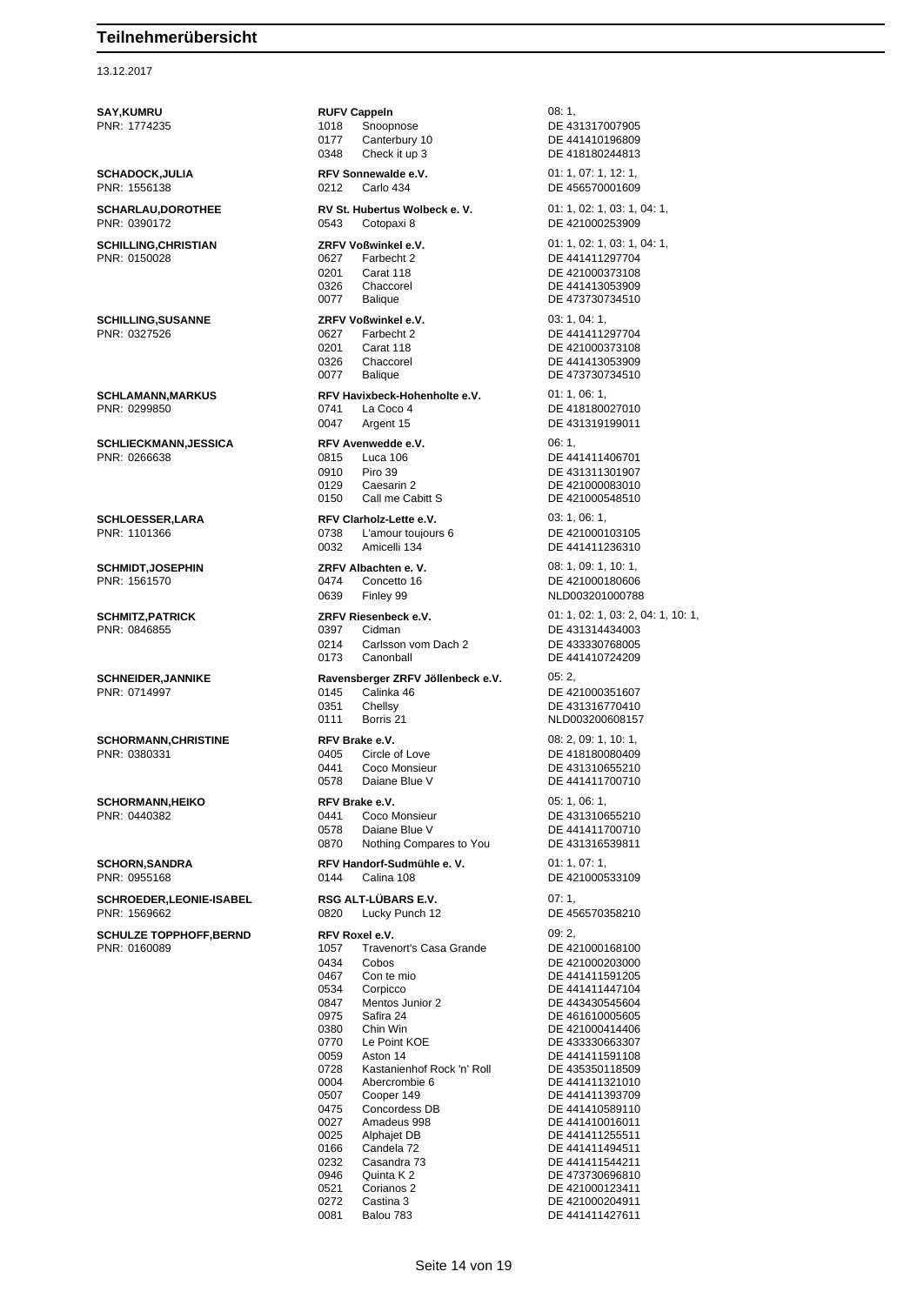#### 13.12.2017

**SAY,KUMRU RUFV Cappeln** 08: 1, PNR: 1774235 1018 Snoopnose DE 431317007905 0177 Canterbury 10 DE 441410196809<br>0348 Check it up 3 DE 418180244813 0348 Check it up 3 DE 418180244813 **SCHADOCK,JULIA RFV Sonnewalde e.V.** 01: 1, 07: 1, 12: 1, PNR: 1556138 0212 Carlo 434 DE 456570001609 **SCHARLAU,DOROTHEE RV St. Hubertus Wolbeck e. V.** 01: 1, 02: 1, 03: 1, 04: 1, 02: 1, 03: 1, 04: 1, 0543 Cotopaxi 8 DE 421000253909 0543 Cotopaxi 8 DE 421000253909 **SCHILLING,CHRISTIAN ZRFV Voßwinkel e.V.** 01: 1, 02: 1, 03: 1, 04: 1, PNR: 0150028 0627 Farbecht 2 DE 441411297704 0201 Carat 118 DE 421000373108 0326 Chaccorel DE 441413053909 0077 Balique DE 473730734510 **SCHILLING,SUSANNE ZRFV Voßwinkel e.V.** 03: 1, 04: 1, PNR: 0327526 0627 Farbecht 2 DE 441411297704 0201 Carat 118 DE 421000373108<br>0326 Chaccorel DE 441413053909 0326 Chaccorel DE 441413053909<br>0077 Balique DE 473730734510 **SCHLAMANN,MARKUS RFV Havixbeck-Hohenholte e.V.** 01: 1, 06: 1,<br>PNR: 0299850 **DE** 4181800 0047 Argent 15 DE 431319199011 **SCHLIECKMANN,JESSICA RFV Avenwedde e.V.** 06: 1, PNR: 0266638 0815 Luca 106 DE 441411406701 0910 Piro 39 DE 431311301907 0129 Caesarin 2 DE 421000083010 0150 Call me Cabitt S DE 421000548510 **SCHLOESSER,LARA RFV Clarholz-Lette e.V.** 03: 1, 06: 1, PNR: 1101366 0738 L'amour toujours 6 DE 421000103105 0032 Amicelli 134 DE 441411236310 **SCHMIDT,JOSEPHIN ZRFV Albachten e. V.** 08: 1, 09: 1, 10: 1, PNR: 1561570 0474 Concetto 16 DE 421000180606 0639 Finley 99 NLD003201000788 **SCHMITZ,PATRICK 2RFV Riesenbeck e.V.** 01: 1, 02: 1, 03: 2, 04: 1, 10: 1, 03: 2, 04: 1, 10: 1, 03: 2, 04: 1, 10: 1, 03: 2, 04: 1, 10: 1, 03: 2, 04: 1, 10: 1, 03: 2, 04: 1, 10: 1, 03: 2, 04: 1, 10: 1, 03: 2, 04: 1, 10: 1, 0 0397 Cidman<br>0214 Carlsson vom Dach 2 DE 433330768005 Carlsson vom Dach 2 0173 Canonball DE 441410724209 **SCHNEIDER,JANNIKE Ravensberger ZRFV Jöllenbeck e.V.** 05: 2<br>PNR: 0714997 **DE 4**<br>DE 4 0351 Chellsy DE 431316770410 0111 Borris 21 NLD003200608157 **SCHORMANN,CHRISTINE RFV Brake e.V.** 08: 2, 09: 1, 10: 1, PNR: 0380331 0405 Circle of Love DE 418180080409 0441 Coco Monsieur **DE 431310655210** 0578 Daiane Blue V DE 441411700710 **SCHORMANN,HEIKO RFV Brake e.V. CGLORMANN,HEIKO RFV Brake e.V. 1, 05: 1, 06: 1, 06: 1,** PNR: 0440382 0441 Coco Monsieur DE 431310655210 0578 Daiane Blue V<br>0870 Nothing Compares to You DE 431316539811 Nothing Compares to You **SCHORN,SANDRA RFV Handorf-Sudmühle e. V.** 01: 1, 07: 1, **SCHROEDER,LEONIE-ISABEL RSG ALT-LÜBARS E.V.** 07: 1, PNR: 1569662 0820 Lucky Punch 12 DE 456570358210 **SCHULZE TOPPHOFF, BERND RFV Roxel e.V. RFV Roxel e.V.** 09: 2,<br>
PNR: 0160089 **DE 421000168100 1057** Travenort's Casa Grande **DE 421000168100** PNR: 0160089 1057 Travenort's Casa Grande 0434 Cobos DE 421000203000 0467 Con te mio DE 441411591205 0534 Corpicco DE 441411447104 0847 Mentos Junior 2 DE 443430545604 0975 Safira 24 DE 461610005605 0380 Chin Win DE 421000414406<br>0770 Le Point KOE DE 433330663307 0059 Aston 14 DE 441411591108 0728 Kastanienhof Rock 'n' Roll DE 435350118509<br>0004 Abercrombie 6 DE 441411321010 0004 Abercrombie 6 DE 441411321010<br>0507 Cooper 149 DE 441411393709 05 Cooper 149 DE 441411393709<br>
DE 441410589110 0475 Concordess DB DE 441410589110<br>0027 Amadeus 998 DE 441410016011 0027 Amadeus 998 DE 441410016011<br>0025 Alphajet DB DE 441411255511 0025 Alphajet DB DE 441411255511<br>0166 Candela 72 DE 441411494511 0166 Candela 72 DE 441411494511 0232 Casandra 73 DE 441411544211 0946 Quinta K 2 DE 473730696810<br>0521 Corianos 2 DE 421000123411

DE 473730734510 DE 418180027010 DE 421000351607 DE 421000533109 DE 433330663307 0521 Corianos 2 DE 421000123411<br>0272 Castina 3 DE 421000204911 0272 Castina 3 DE 421000204911

Balou 783 DE 441411427611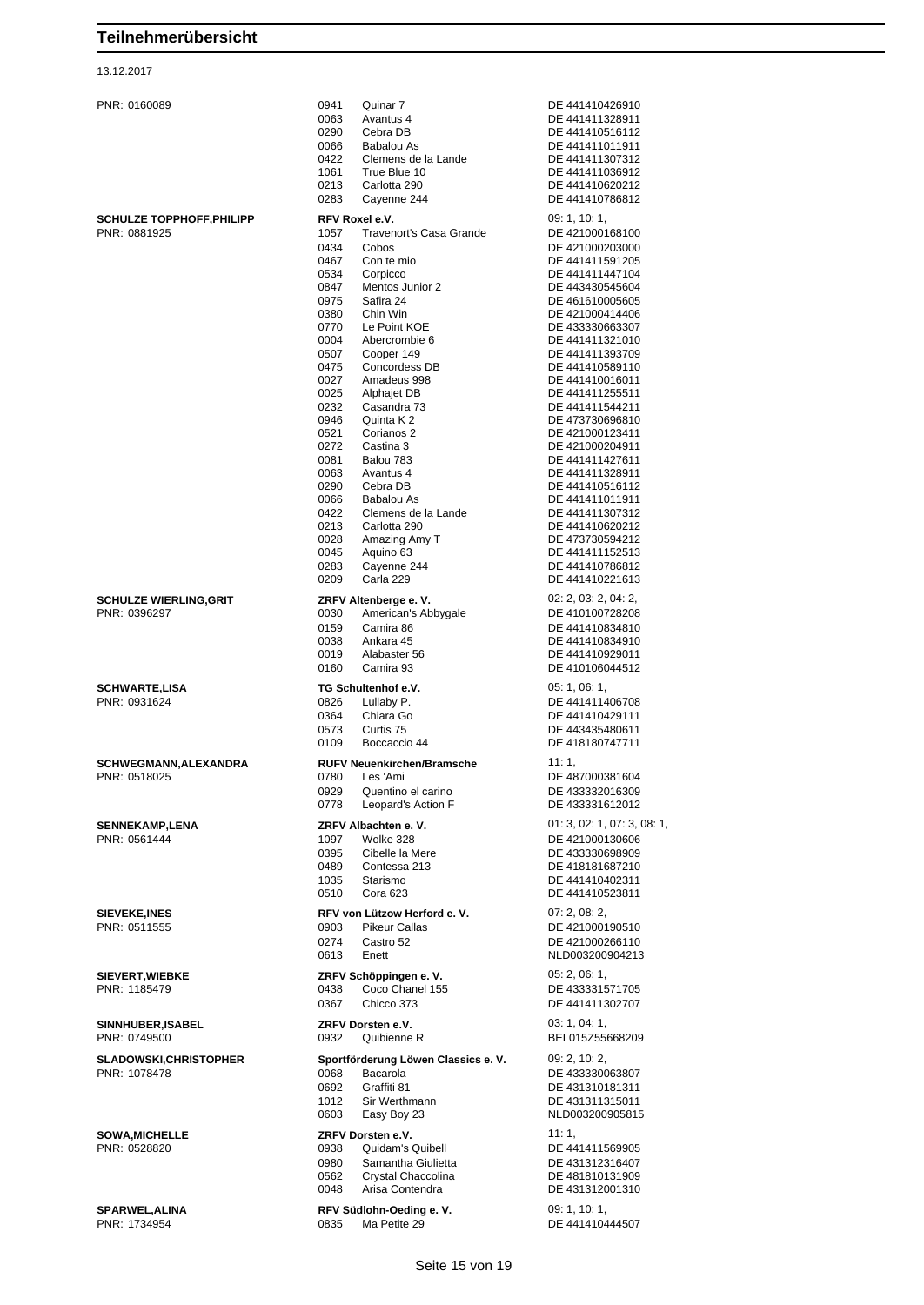#### 13.12.2017

| <b>SCHWARTE,LISA</b>  |
|-----------------------|
| PNR: 0931624          |
| SCHWEGMANN, ALEXANDRA |
| PNR: 0518025          |
| <b>SENNEKAMP,LENA</b> |

| PNR: 0160089                          | 0941<br>Quinar 7                                        | DE 441410426910                    |
|---------------------------------------|---------------------------------------------------------|------------------------------------|
|                                       | 0063<br>Avantus 4                                       | DE 441411328911                    |
|                                       | 0290<br>Cebra DB                                        | DE 441410516112                    |
|                                       | 0066<br>Babalou As<br>0422<br>Clemens de la Lande       | DE 441411011911<br>DE 441411307312 |
|                                       | 1061<br>True Blue 10                                    | DE 441411036912                    |
|                                       | 0213<br>Carlotta 290                                    | DE 441410620212                    |
|                                       | 0283<br>Cayenne 244                                     | DE 441410786812                    |
| <b>SCHULZE TOPPHOFF, PHILIPP</b>      | RFV Roxel e.V.                                          | 09: 1, 10: 1,                      |
| PNR: 0881925                          | 1057<br><b>Travenort's Casa Grande</b><br>0434<br>Cobos | DE 421000168100<br>DE 421000203000 |
|                                       | Con te mio<br>0467                                      | DE 441411591205                    |
|                                       | 0534<br>Corpicco                                        | DE 441411447104                    |
|                                       | 0847<br>Mentos Junior 2<br>0975<br>Safira 24            | DE 443430545604<br>DE 461610005605 |
|                                       | 0380<br>Chin Win                                        | DE 421000414406                    |
|                                       | 0770<br>Le Point KOE                                    | DE 433330663307                    |
|                                       | 0004<br>Abercrombie 6                                   | DE 441411321010                    |
|                                       | Cooper 149<br>0507<br>0475<br>Concordess DB             | DE 441411393709<br>DE 441410589110 |
|                                       | 0027<br>Amadeus 998                                     | DE 441410016011                    |
|                                       | 0025<br><b>Alphajet DB</b>                              | DE 441411255511                    |
|                                       | 0232<br>Casandra 73<br>0946<br>Quinta K 2               | DE 441411544211<br>DE 473730696810 |
|                                       | 0521<br>Corianos 2                                      | DE 421000123411                    |
|                                       | 0272<br>Castina 3                                       | DE 421000204911                    |
|                                       | 0081<br>Balou 783<br>0063<br>Avantus 4                  | DE 441411427611<br>DE 441411328911 |
|                                       | 0290<br>Cebra DB                                        | DE 441410516112                    |
|                                       | 0066<br>Babalou As                                      | DE 441411011911                    |
|                                       | 0422<br>Clemens de la Lande                             | DE 441411307312                    |
|                                       | 0213<br>Carlotta 290<br>0028<br>Amazing Amy T           | DE 441410620212<br>DE 473730594212 |
|                                       | 0045<br>Aquino 63                                       | DE 441411152513                    |
|                                       | 0283<br>Cayenne 244                                     | DE 441410786812                    |
|                                       | 0209<br>Carla 229                                       | DE 441410221613                    |
| <b>SCHULZE WIERLING, GRIT</b>         | ZRFV Altenberge e.V.                                    | 02: 2, 03: 2, 04: 2,               |
| PNR: 0396297                          | 0030<br>American's Abbygale<br>0159<br>Camira 86        | DE 410100728208<br>DE 441410834810 |
|                                       | 0038<br>Ankara 45                                       | DE 441410834910                    |
|                                       | 0019<br>Alabaster 56                                    | DE 441410929011                    |
|                                       | 0160<br>Camira 93                                       | DE 410106044512                    |
| <b>SCHWARTE,LISA</b>                  | TG Schultenhof e.V.                                     | 05: 1, 06: 1,                      |
| PNR: 0931624                          | 0826<br>Lullaby P.                                      | DE 441411406708                    |
|                                       |                                                         |                                    |
|                                       | 0364<br>Chiara Go                                       | DE 441410429111                    |
|                                       | 0573<br>Curtis 75<br>0109<br>Boccaccio 44               | DE 443435480611<br>DE 418180747711 |
| SCHWEGMANN, ALEXANDRA                 | <b>RUFV Neuenkirchen/Bramsche</b>                       | 11:1,                              |
| PNR: 0518025                          | 0780<br>Les 'Ami                                        | DE 487000381604                    |
|                                       | 0929<br>Quentino el carino                              | DE 433332016309                    |
|                                       | Leopard's Action F<br>0778                              | DE 433331612012                    |
| <b>SENNEKAMP,LENA</b>                 | ZRFV Albachten e.V.                                     | 01: 3, 02: 1, 07: 3, 08: 1,        |
| PNR: 0561444                          | 1097<br>Wolke 328                                       | DE 421000130606                    |
|                                       | 0395<br>Cibelle la Mere<br>0489<br>Contessa 213         | DE 433330698909<br>DE 418181687210 |
|                                       | 1035<br>Starismo                                        | DE 441410402311                    |
|                                       | 0510<br>Cora 623                                        | DE 441410523811                    |
| <b>SIEVEKE,INES</b>                   | RFV von Lützow Herford e. V.                            | 07: 2, 08: 2,                      |
| PNR: 0511555                          | <b>Pikeur Callas</b><br>0903                            | DE 421000190510                    |
|                                       | 0274<br>Castro 52<br>0613<br>Enett                      | DE 421000266110<br>NLD003200904213 |
|                                       |                                                         | 05: 2, 06: 1,                      |
| SIEVERT, WIEBKE<br>PNR: 1185479       | ZRFV Schöppingen e.V.<br>Coco Chanel 155<br>0438        | DE 433331571705                    |
|                                       | 0367<br>Chicco 373                                      | DE 441411302707                    |
| SINNHUBER, ISABEL                     | ZRFV Dorsten e.V.                                       | 03: 1, 04: 1,                      |
| PNR: 0749500                          | 0932<br>Quibienne R                                     | BEL015Z55668209                    |
| <b>SLADOWSKI, CHRISTOPHER</b>         | Sportförderung Löwen Classics e. V.                     | 09: 2, 10: 2,                      |
| PNR: 1078478                          | 0068<br>Bacarola                                        | DE 433330063807                    |
|                                       | 0692<br>Graffiti 81                                     | DE 431310181311                    |
|                                       | 1012<br>Sir Werthmann<br>0603<br>Easy Boy 23            | DE 431311315011<br>NLD003200905815 |
|                                       |                                                         |                                    |
| <b>SOWA, MICHELLE</b><br>PNR: 0528820 | ZRFV Dorsten e.V.<br>0938<br>Quidam's Quibell           | 11:1,<br>DE 441411569905           |
|                                       | 0980<br>Samantha Giulietta                              | DE 431312316407                    |
|                                       | 0562<br>Crystal Chaccolina                              | DE 481810131909                    |
|                                       | 0048<br>Arisa Contendra                                 | DE 431312001310                    |
| <b>SPARWEL, ALINA</b><br>PNR: 1734954 | RFV Südlohn-Oeding e. V.<br>Ma Petite 29<br>0835        | 09: 1, 10: 1,<br>DE 441410444507   |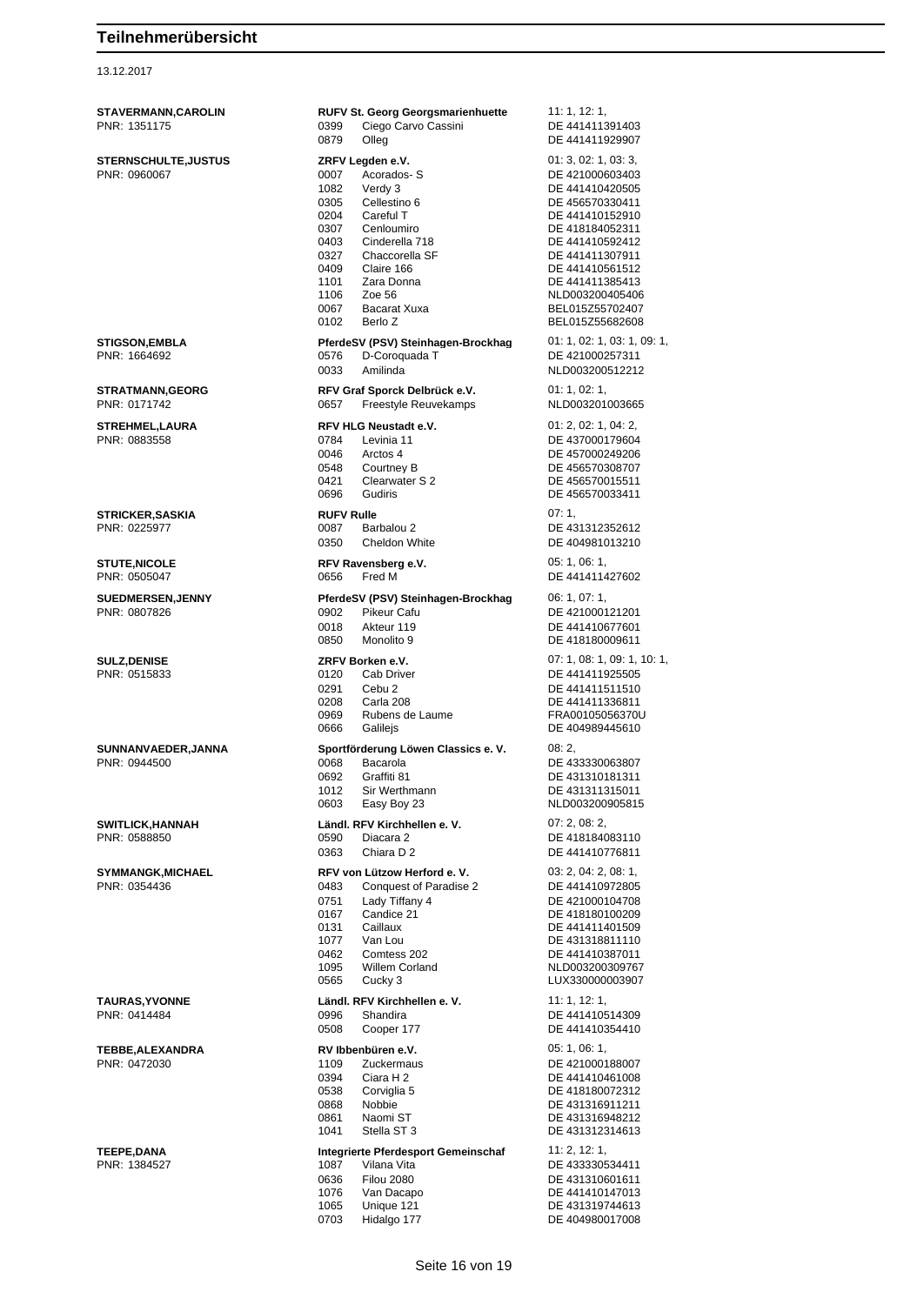### 13.12.2017

| <b>STAVERMANN, CAROLIN</b><br>PNR: 1351175 | <b>RUFV St. Georg Georgsmarienhuette</b><br>0399<br>Ciego Carvo Cassini<br>0879<br>Olleg                                                                                                                                                                                                  | 11: 1, 12: 1,<br>DE 441411391403<br>DE 441411929907                                                                                                                                                                                                      |
|--------------------------------------------|-------------------------------------------------------------------------------------------------------------------------------------------------------------------------------------------------------------------------------------------------------------------------------------------|----------------------------------------------------------------------------------------------------------------------------------------------------------------------------------------------------------------------------------------------------------|
| <b>STERNSCHULTE,JUSTUS</b><br>PNR: 0960067 | ZRFV Legden e.V.<br>0007<br>Acorados-S<br>1082<br>Verdy 3<br>0305<br>Cellestino 6<br>Careful T<br>0204<br>0307<br>Cenloumiro<br>0403<br>Cinderella 718<br>0327<br>Chaccorella SF<br>0409<br>Claire 166<br>1101<br>Zara Donna<br>1106<br>Zoe 56<br>0067<br>Bacarat Xuxa<br>0102<br>Berlo Z | 01: 3, 02: 1, 03: 3,<br>DE 421000603403<br>DE 441410420505<br>DE 456570330411<br>DE 441410152910<br>DE 418184052311<br>DE 441410592412<br>DE 441411307911<br>DE 441410561512<br>DE 441411385413<br>NLD003200405406<br>BEL015Z55702407<br>BEL015Z55682608 |
| STIGSON,EMBLA<br>PNR: 1664692              | PferdeSV (PSV) Steinhagen-Brockhag<br>0576<br>D-Coroquada T<br>0033<br>Amilinda                                                                                                                                                                                                           | 01: 1, 02: 1, 03: 1, 09: 1,<br>DE 421000257311<br>NLD003200512212                                                                                                                                                                                        |
| <b>STRATMANN,GEORG</b><br>PNR: 0171742     | RFV Graf Sporck Delbrück e.V.<br>Freestyle Reuvekamps<br>0657                                                                                                                                                                                                                             | 01: 1, 02: 1,<br>NLD003201003665                                                                                                                                                                                                                         |
| <b>STREHMEL,LAURA</b><br>PNR: 0883558      | <b>RFV HLG Neustadt e.V.</b><br>Levinia 11<br>0784<br>0046<br>Arctos 4<br>0548<br>Courtney B<br>0421<br>Clearwater S 2<br>0696<br>Gudiris                                                                                                                                                 | 01: 2, 02: 1, 04: 2,<br>DE 437000179604<br>DE 457000249206<br>DE 456570308707<br>DE 456570015511<br>DE 456570033411                                                                                                                                      |
| <b>STRICKER, SASKIA</b><br>PNR: 0225977    | <b>RUFV Rulle</b><br>0087<br>Barbalou 2<br>0350<br>Cheldon White                                                                                                                                                                                                                          | 07:1,<br>DE 431312352612<br>DE 404981013210                                                                                                                                                                                                              |
| <b>STUTE,NICOLE</b><br>PNR: 0505047        | RFV Ravensberg e.V.<br>0656<br>Fred M                                                                                                                                                                                                                                                     | 05:1,06:1,<br>DE 441411427602                                                                                                                                                                                                                            |
| <b>SUEDMERSEN, JENNY</b><br>PNR: 0807826   | PferdeSV (PSV) Steinhagen-Brockhag<br>0902<br><b>Pikeur Cafu</b><br>0018<br>Akteur 119<br>0850<br>Monolito 9                                                                                                                                                                              | 06: 1, 07: 1,<br>DE 421000121201<br>DE 441410677601<br>DE 418180009611                                                                                                                                                                                   |
| <b>SULZ, DENISE</b><br>PNR: 0515833        | ZRFV Borken e.V.<br>0120<br>Cab Driver<br>0291<br>Cebu <sub>2</sub><br>0208<br>Carla 208<br>0969<br>Rubens de Laume<br>0666<br>Galilejs                                                                                                                                                   | 07: 1, 08: 1, 09: 1, 10: 1,<br>DE 441411925505<br>DE 441411511510<br>DE 441411336811<br>FRA00105056370U<br>DE 404989445610                                                                                                                               |
| SUNNANVAEDER, JANNA<br>PNR: 0944500        | Sportförderung Löwen Classics e. V.<br>0068<br>Bacarola<br>0692<br>Graffiti 81<br>1012<br>Sir Werthmann<br>0603<br>Easy Boy 23                                                                                                                                                            | 08:2,<br>DE 433330063807<br>DE 431310181311<br>DE 431311315011<br>NLD003200905815                                                                                                                                                                        |
| <b>SWITLICK, HANNAH</b><br>PNR: 0588850    | Ländl. RFV Kirchhellen e. V.<br>0590<br>Diacara 2<br>0363<br>Chiara D 2                                                                                                                                                                                                                   | 07: 2, 08: 2,<br>DE 418184083110<br>DE 441410776811                                                                                                                                                                                                      |
| <b>SYMMANGK,MICHAEL</b><br>PNR: 0354436    | RFV von Lützow Herford e. V.<br>0483<br><b>Conquest of Paradise 2</b><br>0751<br>Lady Tiffany 4<br>0167<br>Candice 21<br>0131<br>Caillaux<br>1077<br>Van Lou<br>0462<br>Comtess 202<br>1095<br>Willem Corland<br>0565<br>Cucky 3                                                          | 03: 2, 04: 2, 08: 1,<br>DE 441410972805<br>DE 421000104708<br>DE 418180100209<br>DE 441411401509<br>DE 431318811110<br>DE 441410387011<br>NLD003200309767<br>LUX330000003907                                                                             |
| <b>TAURAS, YVONNE</b><br>PNR: 0414484      | Ländl. RFV Kirchhellen e. V.<br>0996<br>Shandira<br>0508<br>Cooper 177                                                                                                                                                                                                                    | 11: 1, 12: 1,<br>DE 441410514309<br>DE 441410354410                                                                                                                                                                                                      |
| TEBBE, ALEXANDRA<br>PNR: 0472030           | RV Ibbenbüren e.V.<br>1109<br><b>Zuckermaus</b><br>0394<br>Ciara H 2<br>0538<br>Corviglia 5<br>0868<br>Nobbie<br>0861<br>Naomi ST<br>1041<br>Stella ST 3                                                                                                                                  | 05: 1, 06: 1,<br>DE 421000188007<br>DE 441410461008<br>DE 418180072312<br>DE 431316911211<br>DE 431316948212<br>DE 431312314613                                                                                                                          |
| <b>TEEPE,DANA</b><br>PNR: 1384527          | Integrierte Pferdesport Gemeinschaf<br>1087<br>Vilana Vita<br>0636<br><b>Filou 2080</b><br>1076<br>Van Dacapo<br>1065<br>Unique 121<br>0703<br>Hidalgo 177                                                                                                                                | 11: 2, 12: 1,<br>DE 433330534411<br>DE 431310601611<br>DE 441410147013<br>DE 431319744613<br>DE 404980017008                                                                                                                                             |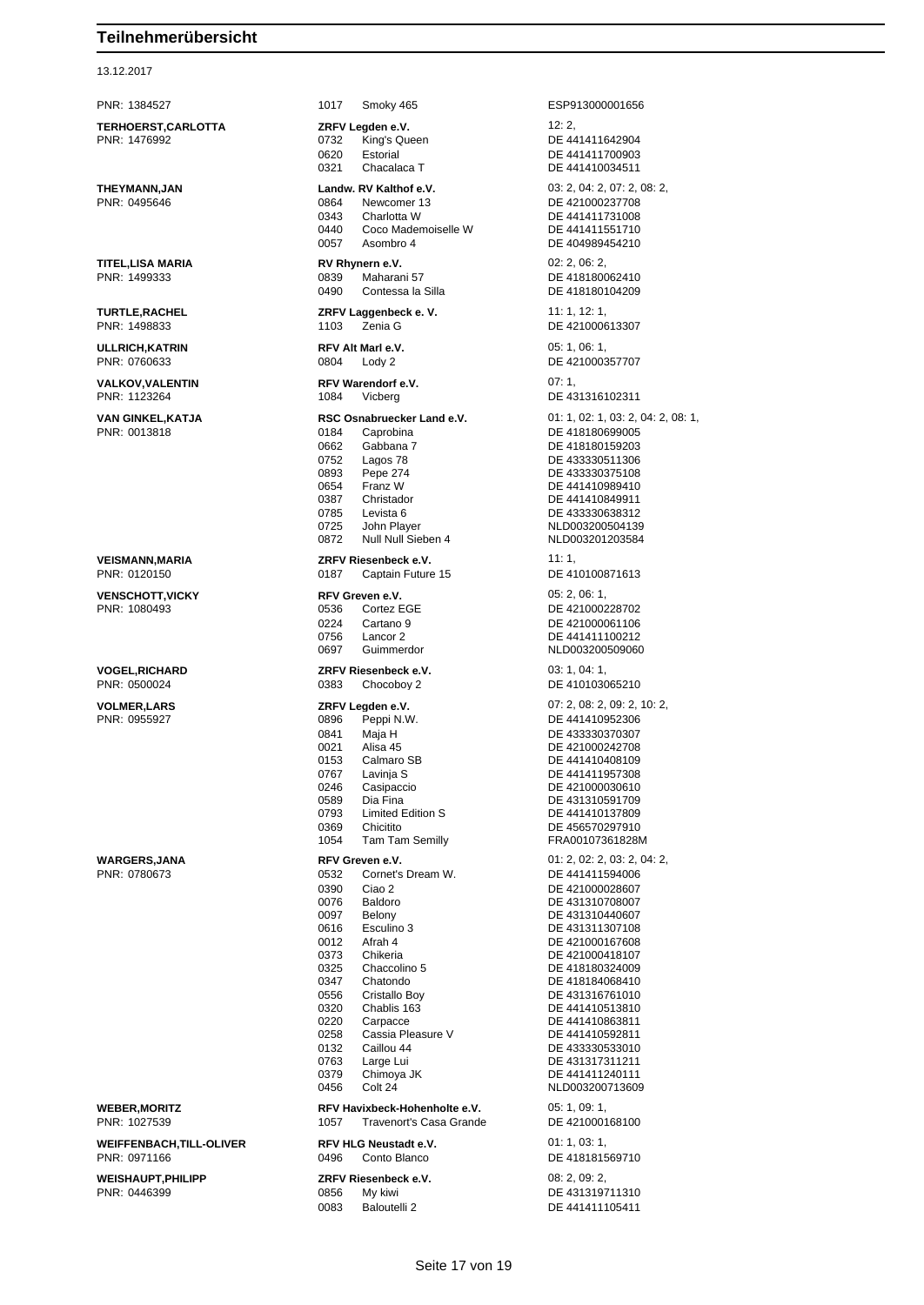13.12.2017

**TERHOERST,CARLOTTA ZRFV Legden e.V.** 12: 2, 0620 Estorial DE 441411700903 0321 Chacalaca T DE 441410034511 **THEYMANN,JAN Landw. RV Kalthof e.V.** 03: 2, 04: 2, 07: 2, 08: 2, PNR: 0495646 0864 Newcomer 13 DE 421000237708 0343 Charlotta W DE 441411731008<br>0440 Coco Mademoiselle W DE 441411551710 0440 Coco Mademoiselle W<br>0057 Asombro 4 **TITEL,LISA MARIA RV Rhynern e.V.** 02: 2, 06: 2, PNR: 1499333 0839 Maharani 57 DE 418180062410 0490 Contessa la Silla DE 418180104209 **TURTLE,RACHEL ZRFV Laggenbeck e. V.** 11: 1, 12: 1, 1103 Zenia G DE 421000613307 **ULLRICH,KATRIN RFV Alt Marl e.V.** 05: 1, 06: 1, **VALKOV,VALENTIN RFV Warendorf e.V.** 07: 1, 07: 1, 07: 1, 07: 1, 07: 1, 07: 1, 07: 1, 07: 1, 07: 1, 07: 1, 07: 1, 07: 1, 07: 1, 07: 1, 07: 1, 07: 1, 07: 0, 05: 1, 07: 0, 05: 1, 05: 0, 05: 1, 05: 0, 05: 0, 05: 0, 05: 0, 0 1084 Vicberg 2006 1084 1084 1084 1084 1084 1084 1084 1085 1086 1087 1088 1089 108 **VAN GINKEL, KATJA RSC Osnabruecker Land e.V.** 01: 1, 02: 1, 03: 2, 04: 2, 08: 1,<br>
PNR: 0013818<br>
OSPE 418180699005 0184 Caprobina DE 418180699005 0662 Gabbana 7 DE 418180159203<br>0752 Lagos 78 DE 433330511306 0893 Pepe 274 DE 433330375108 0654 Franz W DE 441410989410 0387 Christador DE 441410849911<br>19785 Levista 6 DE 433330638312 0785 Levista 6 DE 433330638312<br>0725 John Player (NED003200504139 0725 John Player NLD003200504139 0872 Null Null Sieben 4 NLD003201203584 **VEISMANN,MARIA ZRFV Riesenbeck e.V.** 11: 1, PNR: 0120150 0187 Captain Future 15 DE 410100871613 **VENSCHOTT, VICKY RFV Greven e.V.** 05: 2, 06: 1,<br>
PNR: 1080493 **DE 4210002 DE 4210002** 0224 Cartano 9 DE 421000061106 0756 Lancor 2 DE 441411100212 0697 Guimmerdor NLD003200509060 **VOGEL,RICHARD ZRFV Riesenbeck e.V.** 03: 1, 04: 1, PNR: 0500024 0383 Chocoboy 2 DE 410103065210 **VOLMER,LARS ZRFV Legden e.V.** 07: 2, 08: 2, 09: 2, 10: 2, PNR: 0955927 0896 Peppi N.W. DE 441410952306 0841 Maja H DE 433330370307<br>0021 Alisa 45 DE 421000242708 0021 Alisa 45 DE 421000242708<br>0153 Calmaro SB DE 441410408109 0153 Calmaro SB DE 441410408109<br>0767 Lavinja S DE 441411957308 0767 Lavinja S DE 441411957308 0246 Casipaccio DE 421000030610 0589 Dia Fina DE 431310591709 0793 Limited Edition S DE 441410137809 1054 Tam Tam Semilly FRA00107361828M **WARGERS,JANA RFV Greven e.V.** 01: 2, 02: 2, 03: 2, 04: 2, PNR: 0780673 0532 Cornet's Dream W. DE 441411594006 0390 Ciao 2 DE 421000028607 0076 Baldoro DE 431310708007<br>0097 Belony DE 431310440607 0097 Belony DE 431310440607<br>0616 Esculino 3 DE 431311307108 Esculino 3 DE 431311307108 0012 Afrah 4 DE 421000167608 0373 Chikeria **DE 421000418107** 0325 Chaccolino 5 DE 418180324009 0347 Chatondo DE 418184068410<br>0556 Cristallo Boy DE 431316761010 0320 Chablis 163 DE 441410513810<br>0220 Carpacce DE 441410863811 0220 Carpacce DE 441410863811<br>0258 Cassia Pleasure V DE 441410592811 0258 Cassia Pleasure V DE 441410592811 0132 Caillou 44 DE 433330533010<br>0763 Large Lui DE 431317311211 0379 Chimoya JK<br>0456 Colt 24 **DE 441411240111** 0456 Colt 24 NLD003200713609 **WEBER,MORITZ RFV Havixbeck-Hohenholte e.V.** 05: 1, 09: 1, 1057 Travenort's Casa Grande **WEIFFENBACH,TILL-OLIVER RFV HLG Neustadt e.V. COMPACT 1, 03: 1, 03: 1,** PNR: 0971166 0496 Conto Blanco DE 418181569710 **WEISHAUPT,PHILIPP ZRFV Riesenbeck e.V.** 08: 2, 09: 2, 09: 2, 09: 2, 09: 2, 09: 2, 09: 2, 09: 2, 09: 2, 09: 2, 09: 2, 09: 2, 09: 2, 09: 2, 09: 2, 09: 2, 09: 2, 09: 2, 09: 2, 09: 2, 09: 2, 09: 2, 09: 2, 09: 2, 09: 2, 09: 0856 My kiwi DE 431319711310 0083 Baloutelli 2 DE 441411105411

PNR: 1384527 1017 Smoky 465 ESP913000001656 DE 441411642904 DE 404989454210 DE 421000357707 DE 433330511306 DE 421000228702 DE 456570297910 DE 431316761010 DE 431317311211